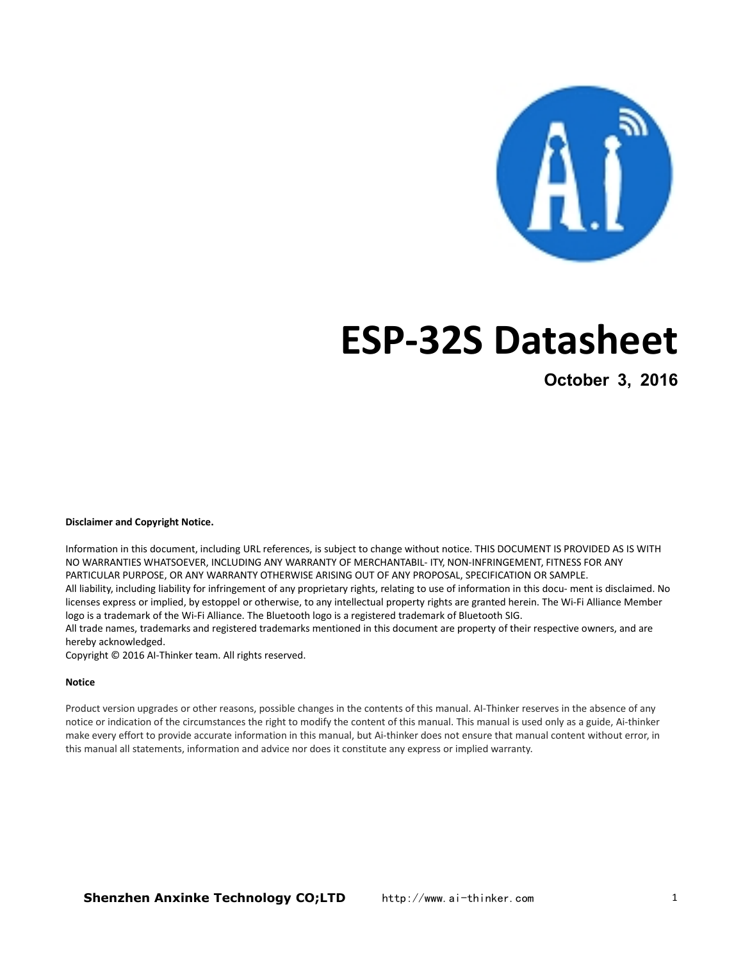

# **ESP-32S Datasheet**

**October 3, 2016**

#### **Disclaimer and Copyright Notice.**

Information in this document, including URL references, is subject to change without notice. THIS DOCUMENT IS PROVIDED AS IS WITH NO WARRANTIES WHATSOEVER, INCLUDING ANY WARRANTY OF MERCHANTABIL- ITY, NON-INFRINGEMENT, FITNESS FOR ANY PARTICULAR PURPOSE, OR ANY WARRANTY OTHERWISE ARISING OUT OF ANY PROPOSAL, SPECIFICATION OR SAMPLE. All liability, including liability for infringement of any proprietary rights, relating to use of information in this docu- ment is disclaimed. No licenses express or implied, by estoppel or otherwise, to any intellectual property rights are granted herein. The Wi-Fi Alliance Member logo is a trademark of the Wi-Fi Alliance. The Bluetooth logo is a registered trademark of Bluetooth SIG.

All trade names, trademarks and registered trademarks mentioned in this document are property of their respective owners, and are hereby acknowledged.

Copyright © 2016 AI-Thinker team. All rights reserved.

#### **Notice**

Product version upgrades or other reasons, possible changes in the contents of this manual. AI-Thinker reserves in the absence of any notice or indication of the circumstances the right to modify the content of this manual. This manual is used only as a guide, Ai-thinker make every effort to provide accurate information in this manual, but Ai-thinker does not ensure that manual content without error, in this manual all statements, information and advice nor does it constitute any express or implied warranty.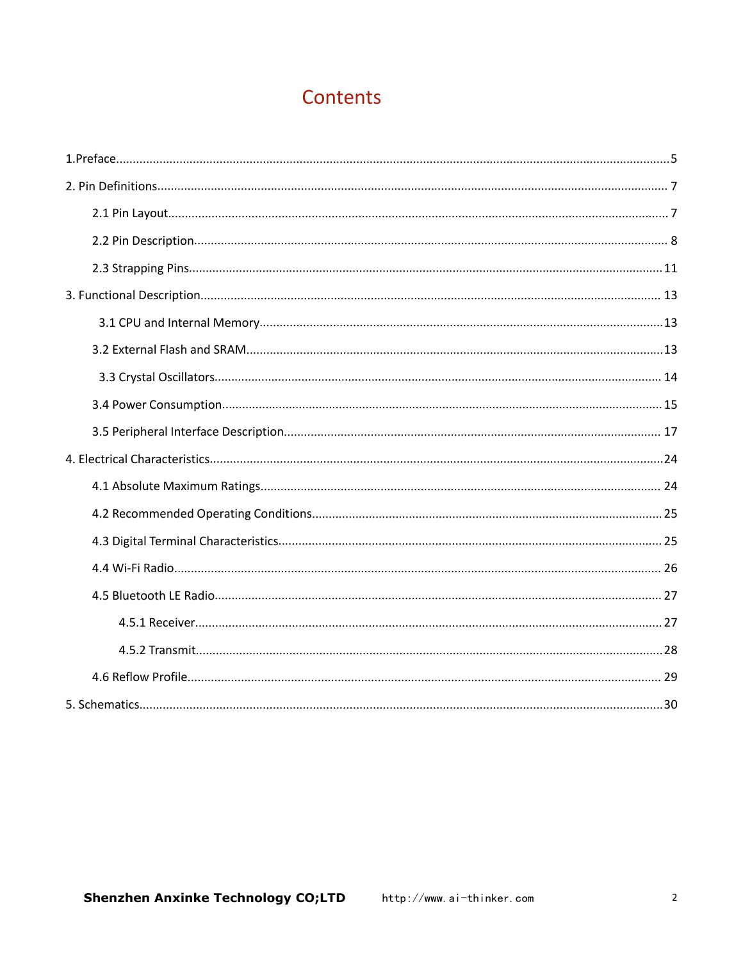# Contents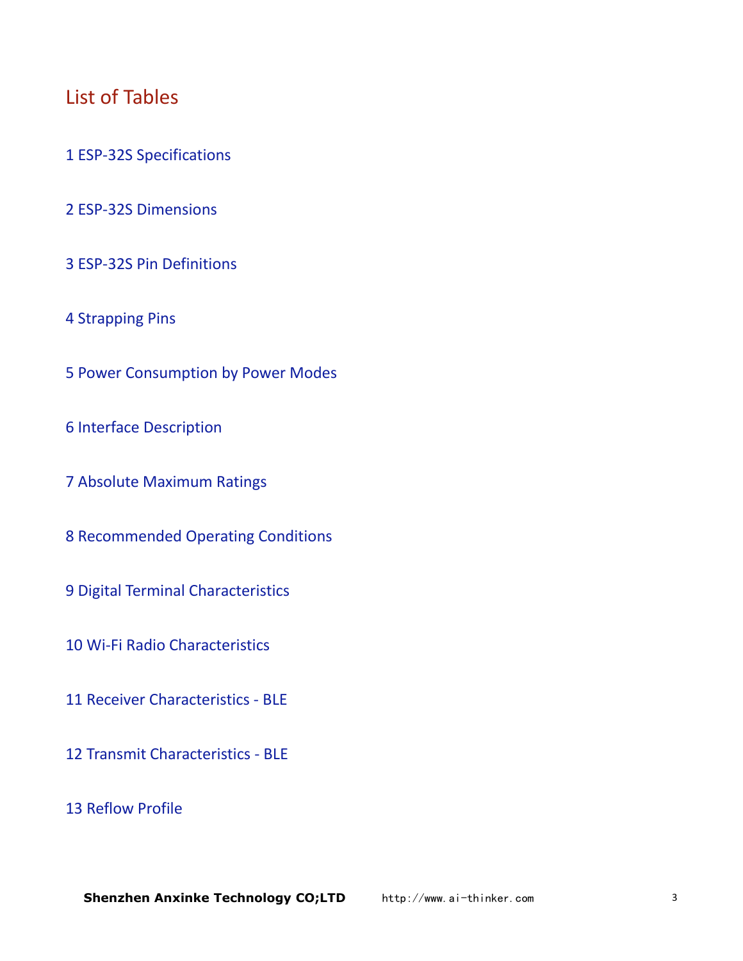# List of Tables

- ESP-32S Specifications
- ESP-32S Dimensions
- ESP-32S Pin Definitions
- Strapping Pins
- Power Consumption by Power Modes
- Interface Description
- Absolute Maximum Ratings
- Recommended Operating Conditions
- Digital Terminal Characteristics
- Wi-Fi Radio Characteristics
- Receiver Characteristics BLE
- Transmit Characteristics BLE
- Reflow Profile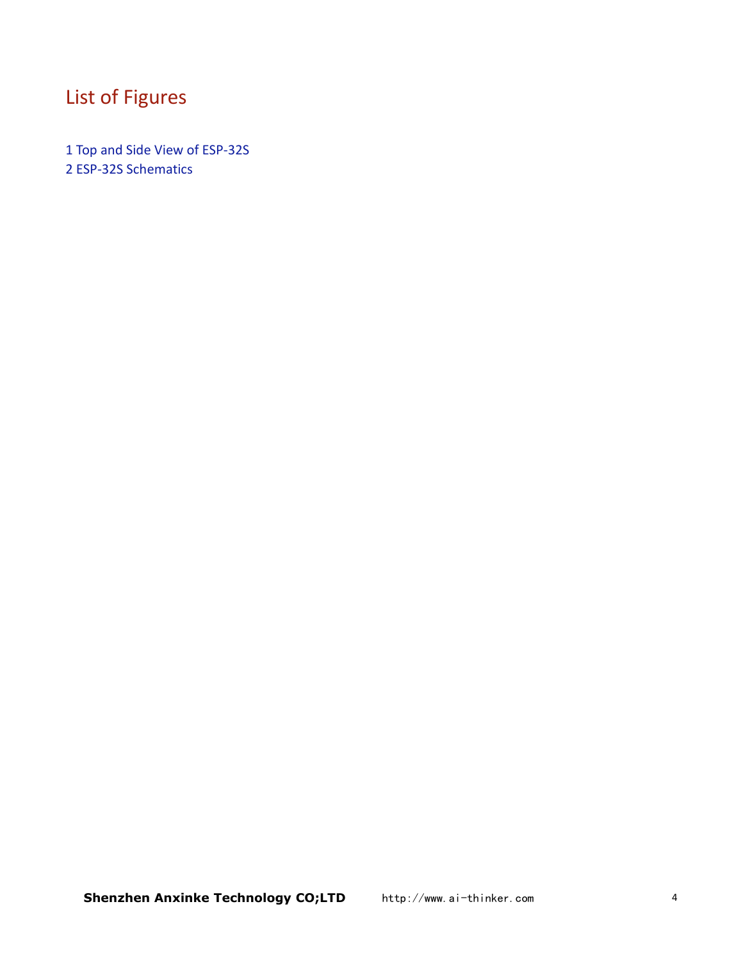# List of Figures

1 Top and Side View of ESP-32S 2 ESP-32S Schematics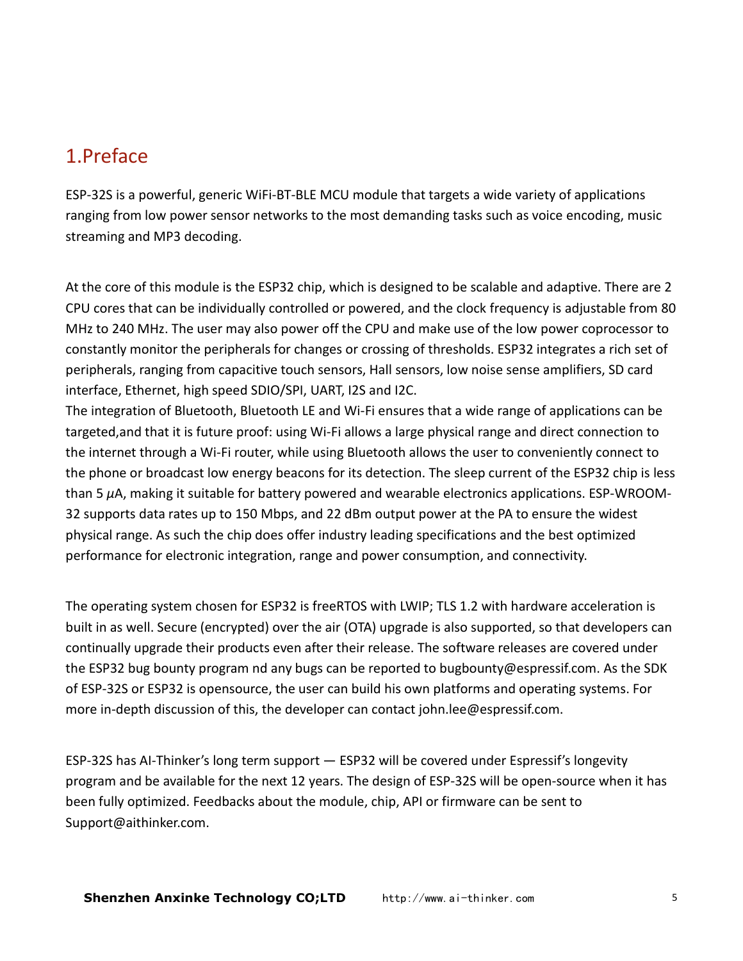# <span id="page-4-0"></span>1.Preface

ESP-32S is a powerful, generic WiFi-BT-BLE MCU module that targets a wide variety of applications ranging from low power sensor networks to the most demanding tasks such as voice encoding, music streaming and MP3 decoding.

At the core of this module is the ESP32 chip, which is designed to be scalable and adaptive. There are 2 CPU cores that can be individually controlled or powered, and the clock frequency is adjustable from 80 MHz to 240 MHz. The user may also power off the CPU and make use of the low power coprocessor to constantly monitor the peripherals for changes or crossing of thresholds. ESP32 integrates a rich set of peripherals, ranging from capacitive touch sensors, Hall sensors, low noise sense amplifiers, SD card interface, Ethernet, high speed SDIO/SPI, UART, I2S and I2C.

The integration of Bluetooth, Bluetooth LE and Wi-Fi ensures that a wide range of applications can be targeted,and that it is future proof: using Wi-Fi allows a large physical range and direct connection to the internet through a Wi-Fi router, while using Bluetooth allows the user to conveniently connect to the phone or broadcast low energy beacons for its detection. The sleep current of the ESP32 chip is less than 5 *µ*A, making it suitable for battery powered and wearable electronics applications. ESP-WROOM-32 supports data rates up to 150 Mbps, and 22 dBm output power at the PA to ensure the widest physical range. As such the chip does offer industry leading specifications and the best optimized performance for electronic integration, range and power consumption, and connectivity.

The operating system chosen for ESP32 is freeRTOS with LWIP; TLS 1.2 with hardware acceleration is built in as well. Secure (encrypted) over the air (OTA) upgrade is also supported, so that developers can continually upgrade their products even after their release. The software releases are covered under the ESP32 bug bounty program nd any bugs can be reported to bugbounty@espressif.com. As the SDK of ESP-32S or ESP32 is opensource, the user can build his own platforms and operating systems. For more in-depth discussion of this, the developer can contact john.lee@espressif.com.

ESP-32S has AI-Thinker's long term support — ESP32 will be covered under Espressif's longevity program and be available for the next 12 years. The design of ESP-32S will be open-source when it has been fully optimized. Feedbacks about the module, chip, API or firmware can be sent to Support@aithinker.com.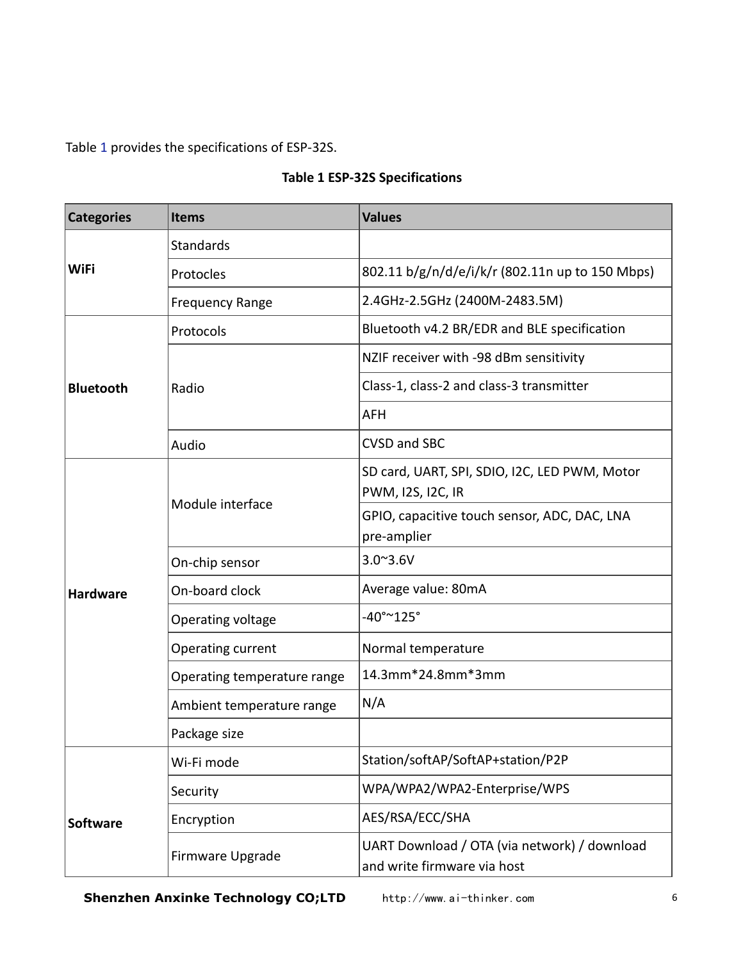Table 1 provides the specifications of ESP-32S.

| <b>Categories</b> | <b>Items</b>                | <b>Values</b>                                                               |  |  |
|-------------------|-----------------------------|-----------------------------------------------------------------------------|--|--|
|                   | Standards                   |                                                                             |  |  |
| WiFi              | Protocles                   | 802.11 b/g/n/d/e/i/k/r (802.11n up to 150 Mbps)                             |  |  |
|                   | <b>Frequency Range</b>      | 2.4GHz-2.5GHz (2400M-2483.5M)                                               |  |  |
|                   | Protocols                   | Bluetooth v4.2 BR/EDR and BLE specification                                 |  |  |
|                   |                             | NZIF receiver with -98 dBm sensitivity                                      |  |  |
| <b>Bluetooth</b>  | Radio                       | Class-1, class-2 and class-3 transmitter                                    |  |  |
|                   |                             | <b>AFH</b>                                                                  |  |  |
|                   | Audio                       | <b>CVSD and SBC</b>                                                         |  |  |
|                   |                             | SD card, UART, SPI, SDIO, I2C, LED PWM, Motor<br>PWM, I2S, I2C, IR          |  |  |
|                   | Module interface            | GPIO, capacitive touch sensor, ADC, DAC, LNA<br>pre-amplier                 |  |  |
|                   | On-chip sensor              | $3.0^{\sim}3.6V$                                                            |  |  |
| Hardware          | On-board clock              | Average value: 80mA                                                         |  |  |
|                   | Operating voltage           | $-40^{\circ}$ ~ $125^{\circ}$                                               |  |  |
|                   | Operating current           | Normal temperature                                                          |  |  |
|                   | Operating temperature range | 14.3mm*24.8mm*3mm                                                           |  |  |
|                   | Ambient temperature range   | N/A                                                                         |  |  |
|                   | Package size                |                                                                             |  |  |
|                   | Wi-Fi mode                  | Station/softAP/SoftAP+station/P2P                                           |  |  |
|                   | Security                    | WPA/WPA2/WPA2-Enterprise/WPS                                                |  |  |
| Software          | Encryption                  | AES/RSA/ECC/SHA                                                             |  |  |
|                   | Firmware Upgrade            | UART Download / OTA (via network) / download<br>and write firmware via host |  |  |

#### **Table 1 ESP-32S Specifications**

**Shenzhen Anxinke Technology CO;LTD** http://www.ai-thinker.com 6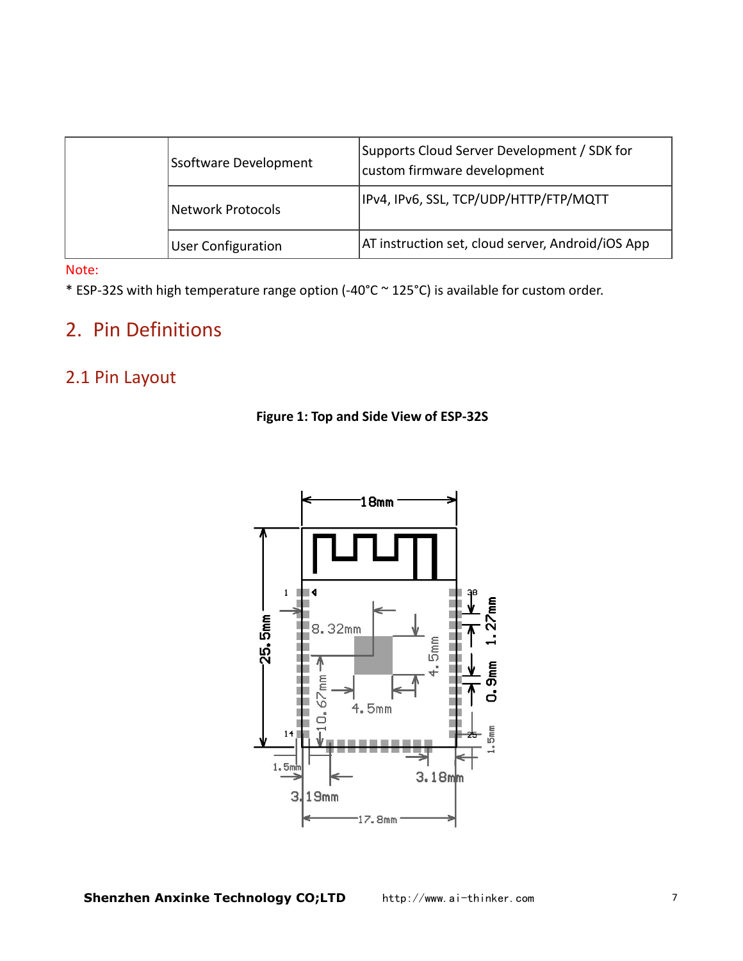<span id="page-6-1"></span><span id="page-6-0"></span>

| Ssoftware Development     | Supports Cloud Server Development / SDK for<br>custom firmware development |  |
|---------------------------|----------------------------------------------------------------------------|--|
| Network Protocols         | IPv4, IPv6, SSL, TCP/UDP/HTTP/FTP/MQTT                                     |  |
| <b>User Configuration</b> | AT instruction set, cloud server, Android/iOS App                          |  |

Note:

\* ESP-32S with high temperature range option (-40°C ~ 125°C) is available for custom order.

# 2. Pin Definitions

### 2.1 Pin Layout



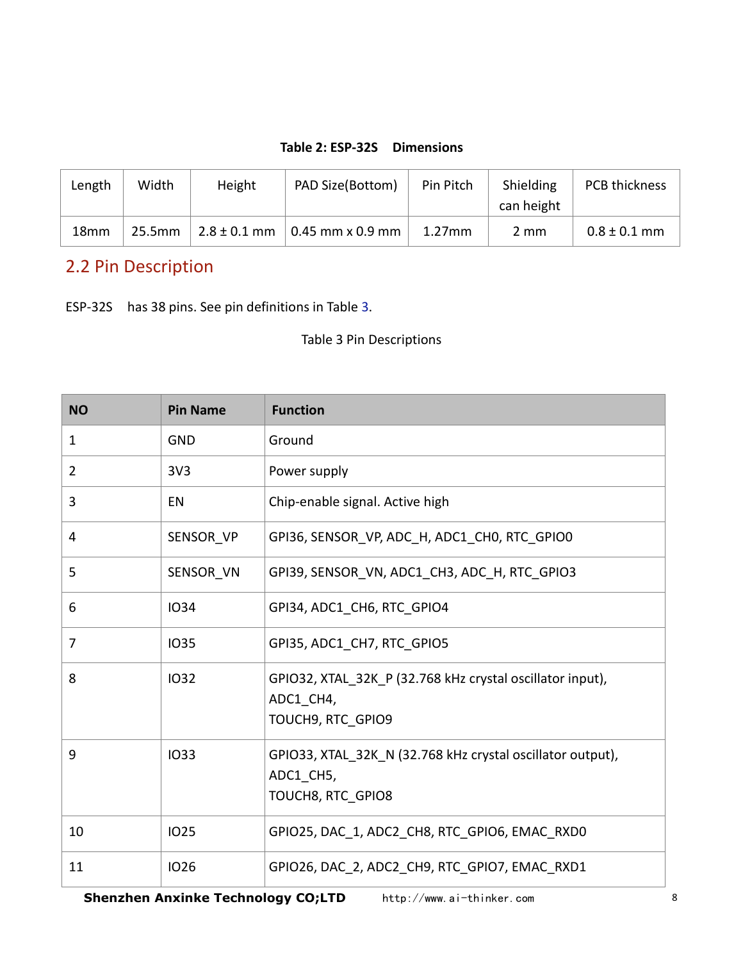#### **Table 2: ESP-32S Dimensions**

<span id="page-7-0"></span>

| Length           | Width  | Height           | PAD Size(Bottom)         | Pin Pitch | Shielding<br>can height | PCB thickness    |
|------------------|--------|------------------|--------------------------|-----------|-------------------------|------------------|
| 18 <sub>mm</sub> | 25.5mm | $2.8 \pm 0.1$ mm | $\vert$ 0.45 mm x 0.9 mm | $1.27$ mm | 2 mm                    | $0.8 \pm 0.1$ mm |

### 2.2 Pin Description

ESP-32S has 38 pins. See pin definitions in Table 3.

Table 3 Pin Descriptions

| <b>NO</b>      | <b>Pin Name</b> | <b>Function</b>                                                                              |  |  |
|----------------|-----------------|----------------------------------------------------------------------------------------------|--|--|
| $\mathbf{1}$   | <b>GND</b>      | Ground                                                                                       |  |  |
| $\overline{2}$ | 3V <sub>3</sub> | Power supply                                                                                 |  |  |
| 3              | EN              | Chip-enable signal. Active high                                                              |  |  |
| 4              | SENSOR_VP       | GPI36, SENSOR_VP, ADC_H, ADC1_CH0, RTC_GPIO0                                                 |  |  |
| 5              | SENSOR VN       | GPI39, SENSOR VN, ADC1 CH3, ADC H, RTC GPIO3                                                 |  |  |
| 6              | 1034            | GPI34, ADC1 CH6, RTC GPIO4                                                                   |  |  |
| 7              | 1035            | GPI35, ADC1 CH7, RTC GPIO5                                                                   |  |  |
| 8              | 1032            | GPIO32, XTAL_32K_P (32.768 kHz crystal oscillator input),<br>ADC1 CH4,<br>TOUCH9, RTC GPIO9  |  |  |
| 9              | 1033            | GPIO33, XTAL_32K_N (32.768 kHz crystal oscillator output),<br>ADC1 CH5,<br>TOUCH8, RTC_GPIO8 |  |  |
| 10             | <b>IO25</b>     | GPIO25, DAC_1, ADC2_CH8, RTC_GPIO6, EMAC_RXD0                                                |  |  |
| 11             | <b>IO26</b>     | GPIO26, DAC 2, ADC2 CH9, RTC GPIO7, EMAC RXD1                                                |  |  |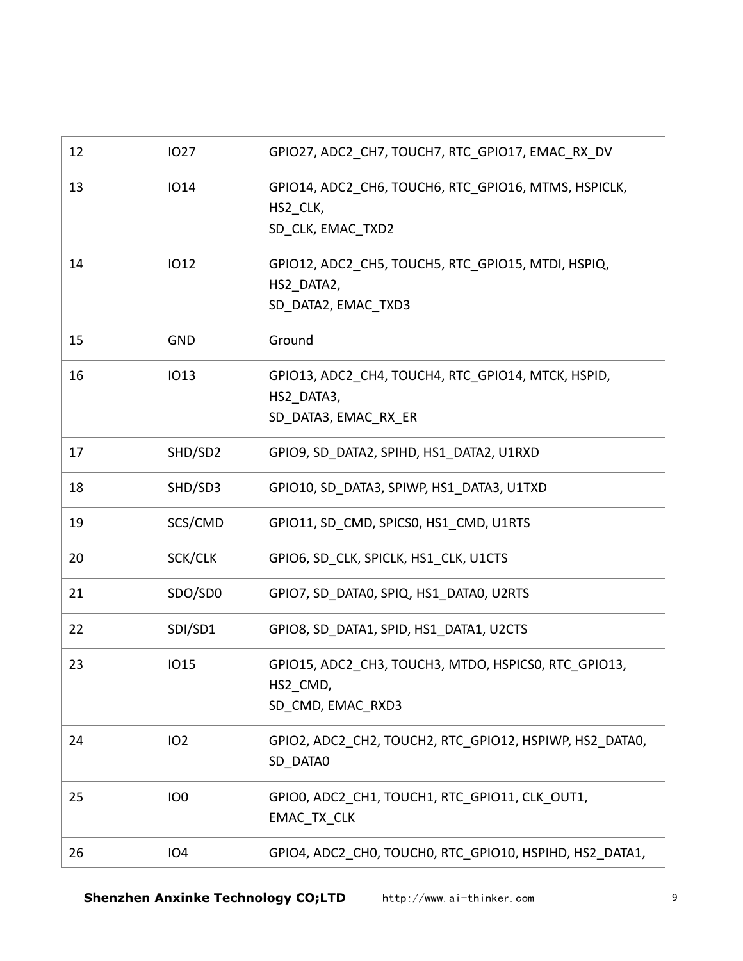| 12 | <b>IO27</b>     | GPIO27, ADC2_CH7, TOUCH7, RTC_GPIO17, EMAC_RX_DV                                         |  |
|----|-----------------|------------------------------------------------------------------------------------------|--|
| 13 | <b>IO14</b>     | GPIO14, ADC2 CH6, TOUCH6, RTC GPIO16, MTMS, HSPICLK,<br>HS2 CLK,<br>SD_CLK, EMAC_TXD2    |  |
| 14 | <b>IO12</b>     | GPIO12, ADC2 CH5, TOUCH5, RTC GPIO15, MTDI, HSPIQ,<br>HS2 DATA2,<br>SD_DATA2, EMAC_TXD3  |  |
| 15 | <b>GND</b>      | Ground                                                                                   |  |
| 16 | <b>IO13</b>     | GPIO13, ADC2_CH4, TOUCH4, RTC_GPIO14, MTCK, HSPID,<br>HS2 DATA3,<br>SD DATA3, EMAC_RX_ER |  |
| 17 | SHD/SD2         | GPIO9, SD DATA2, SPIHD, HS1 DATA2, U1RXD                                                 |  |
| 18 | SHD/SD3         | GPIO10, SD DATA3, SPIWP, HS1 DATA3, U1TXD                                                |  |
| 19 | SCS/CMD         | GPIO11, SD CMD, SPICS0, HS1 CMD, U1RTS                                                   |  |
| 20 | SCK/CLK         | GPIO6, SD CLK, SPICLK, HS1 CLK, U1CTS                                                    |  |
| 21 | SDO/SD0         | GPIO7, SD DATA0, SPIQ, HS1 DATA0, U2RTS                                                  |  |
| 22 | SDI/SD1         | GPIO8, SD_DATA1, SPID, HS1_DATA1, U2CTS                                                  |  |
| 23 | <b>IO15</b>     | GPIO15, ADC2 CH3, TOUCH3, MTDO, HSPICSO, RTC GPIO13,<br>HS2_CMD,<br>SD_CMD, EMAC_RXD3    |  |
| 24 | 102             | GPIO2, ADC2 CH2, TOUCH2, RTC GPIO12, HSPIWP, HS2 DATA0,<br>SD DATA0                      |  |
| 25 | IO <sub>0</sub> | GPIO0, ADC2_CH1, TOUCH1, RTC_GPIO11, CLK_OUT1,<br>EMAC_TX_CLK                            |  |
| 26 | 104             | GPIO4, ADC2_CH0, TOUCH0, RTC_GPIO10, HSPIHD, HS2_DATA1,                                  |  |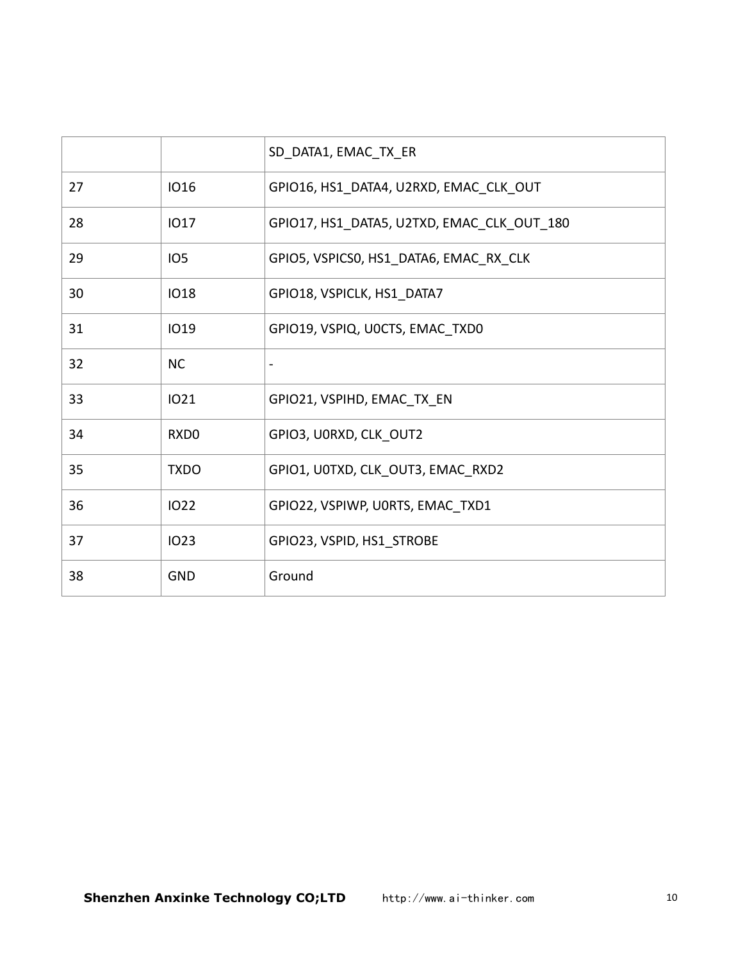|    |                  | SD_DATA1, EMAC_TX_ER                       |
|----|------------------|--------------------------------------------|
| 27 | <b>IO16</b>      | GPIO16, HS1 DATA4, U2RXD, EMAC CLK OUT     |
| 28 | <b>IO17</b>      | GPIO17, HS1 DATA5, U2TXD, EMAC CLK OUT 180 |
| 29 | IO <sub>5</sub>  | GPIO5, VSPICSO, HS1 DATA6, EMAC RX CLK     |
| 30 | <b>IO18</b>      | GPIO18, VSPICLK, HS1 DATA7                 |
| 31 | <b>IO19</b>      | GPIO19, VSPIQ, U0CTS, EMAC_TXD0            |
| 32 | <b>NC</b>        |                                            |
| 33 | <b>IO21</b>      | GPIO21, VSPIHD, EMAC TX EN                 |
| 34 | RXD <sub>0</sub> | GPIO3, U0RXD, CLK OUT2                     |
| 35 | <b>TXDO</b>      | GPIO1, U0TXD, CLK OUT3, EMAC RXD2          |
| 36 | 1022             | GPIO22, VSPIWP, U0RTS, EMAC TXD1           |
| 37 | <b>IO23</b>      | GPIO23, VSPID, HS1_STROBE                  |
| 38 | <b>GND</b>       | Ground                                     |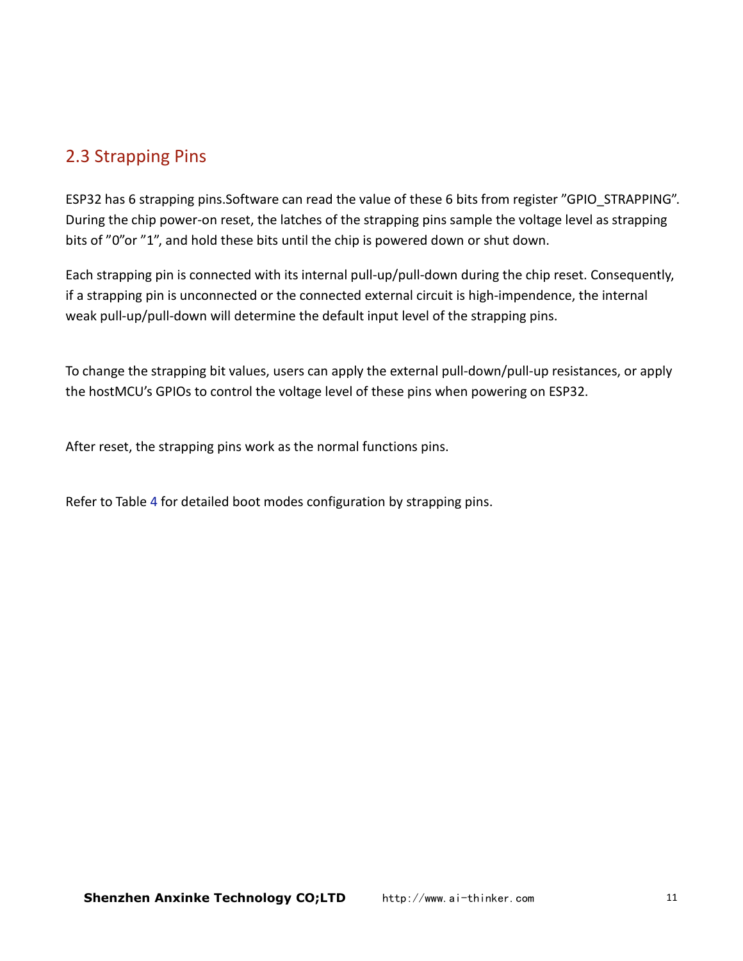### <span id="page-10-0"></span>2.3 Strapping Pins

ESP32 has 6 strapping pins.Software can read the value of these 6 bits from register "GPIO\_STRAPPING". During the chip power-on reset, the latches of the strapping pins sample the voltage level as strapping bits of "0"or "1", and hold these bits until the chip is powered down or shut down.

Each strapping pin is connected with its internal pull-up/pull-down during the chip reset. Consequently, if a strapping pin is unconnected or the connected external circuit is high-impendence, the internal weak pull-up/pull-down will determine the default input level of the strapping pins.

To change the strapping bit values, users can apply the external pull-down/pull-up resistances, or apply the hostMCU's GPIOs to control the voltage level of these pins when powering on ESP32.

After reset, the strapping pins work as the normal functions pins.

Refer to Table 4 for detailed boot modes configuration by strapping pins.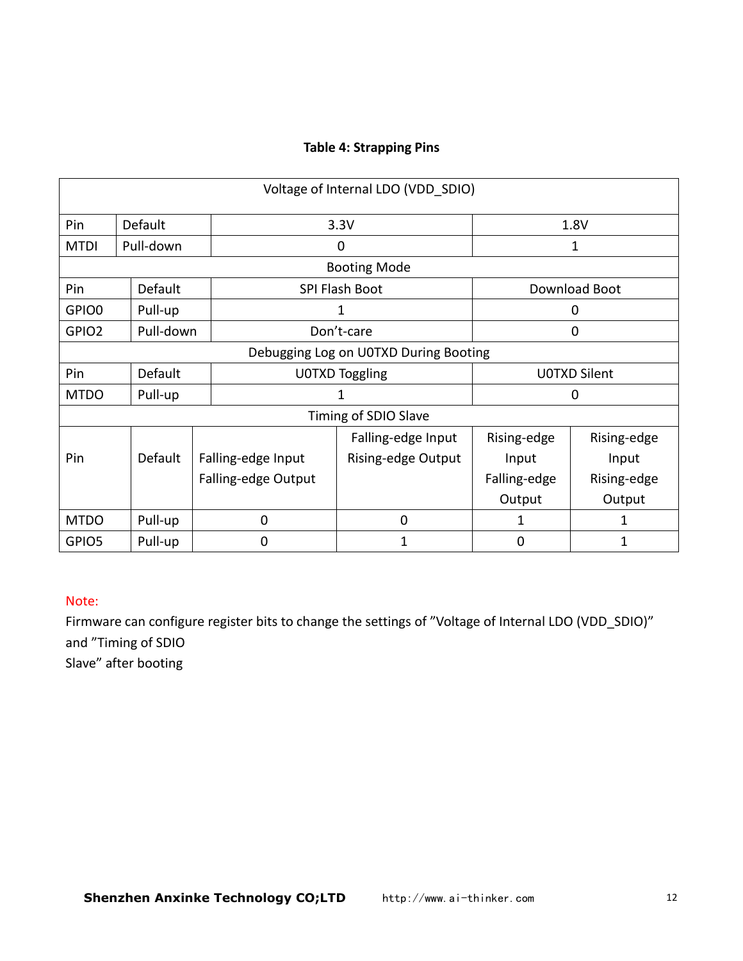#### **Table 4: Strapping Pins**

|                      |                |                     | Voltage of Internal LDO (VDD SDIO)    |              |                     |
|----------------------|----------------|---------------------|---------------------------------------|--------------|---------------------|
| Pin                  | <b>Default</b> |                     | 3.3V                                  |              | 1.8V                |
| <b>MTDI</b>          | Pull-down      |                     | $\mathbf 0$                           |              | 1                   |
|                      |                |                     | <b>Booting Mode</b>                   |              |                     |
| Pin                  | Default        |                     | SPI Flash Boot                        |              | Download Boot       |
| GPIO0                | Pull-up        |                     | 1                                     |              | $\mathbf 0$         |
| GPIO <sub>2</sub>    | Pull-down      |                     | Don't-care                            |              | $\boldsymbol{0}$    |
|                      |                |                     | Debugging Log on U0TXD During Booting |              |                     |
| Pin                  | Default        |                     | <b>U0TXD Toggling</b>                 |              | <b>U0TXD Silent</b> |
| <b>MTDO</b>          | Pull-up        |                     | 1                                     |              | 0                   |
| Timing of SDIO Slave |                |                     |                                       |              |                     |
|                      |                |                     | Falling-edge Input                    | Rising-edge  | Rising-edge         |
| Pin                  | Default        | Falling-edge Input  | Rising-edge Output                    | Input        | Input               |
|                      |                | Falling-edge Output |                                       | Falling-edge | Rising-edge         |
|                      |                |                     |                                       | Output       | Output              |
| <b>MTDO</b>          | Pull-up        | $\Omega$            | 0                                     | 1            | 1                   |
| GPIO5                | Pull-up        | 0                   | 1                                     | $\mathbf 0$  | $\mathbf{1}$        |

#### Note:

Firmware can configure register bits to change the settings of "Voltage of Internal LDO (VDD\_SDIO)" and "Timing of SDIO

Slave" after booting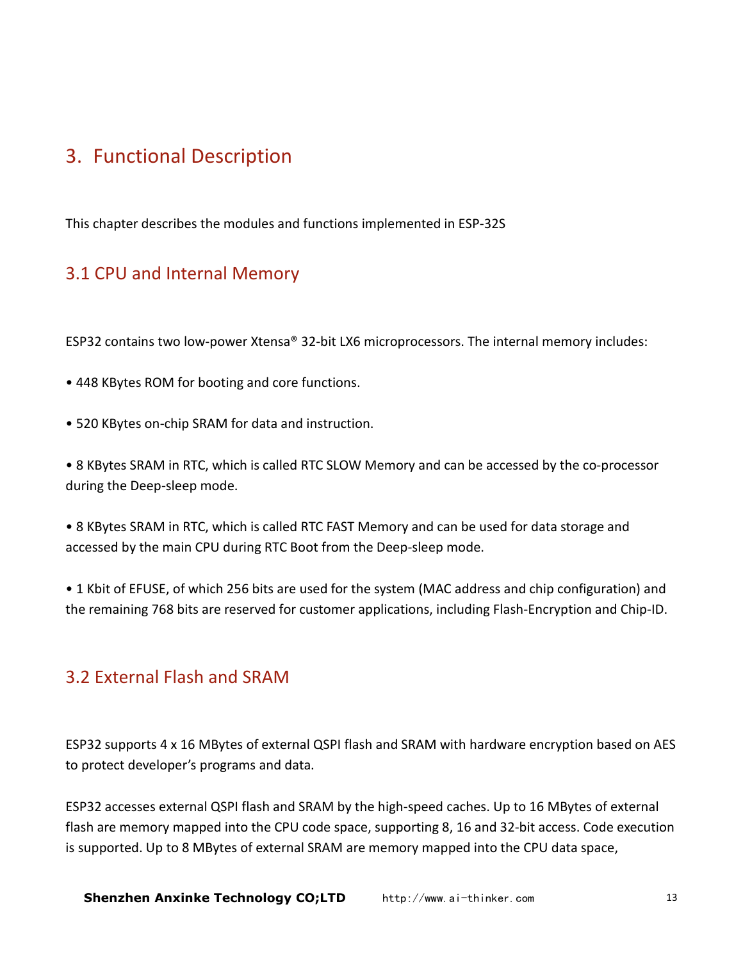# <span id="page-12-1"></span><span id="page-12-0"></span>3. Functional Description

This chapter describes the modules and functions implemented in ESP-32S

### 3.1 CPU and Internal Memory

ESP32 contains two low-power Xtensa® 32-bit LX6 microprocessors. The internal memory includes:

- 448 KBytes ROM for booting and core functions.
- 520 KBytes on-chip SRAM for data and instruction.

• 8 KBytes SRAM in RTC, which is called RTC SLOW Memory and can be accessed by the co-processor during the Deep-sleep mode.

• 8 KBytes SRAM in RTC, which is called RTC FAST Memory and can be used for data storage and accessed by the main CPU during RTC Boot from the Deep-sleep mode.

• 1 Kbit of EFUSE, of which 256 bits are used for the system (MAC address and chip configuration) and the remaining 768 bits are reserved for customer applications, including Flash-Encryption and Chip-ID.

### 3.2 External Flash and SRAM

ESP32 supports 4 x 16 MBytes of external QSPI flash and SRAM with hardware encryption based on AES to protect developer's programs and data.

ESP32 accesses external QSPI flash and SRAM by the high-speed caches. Up to 16 MBytes of external flash are memory mapped into the CPU code space, supporting 8, 16 and 32-bit access. Code execution is supported. Up to 8 MBytes of external SRAM are memory mapped into the CPU data space,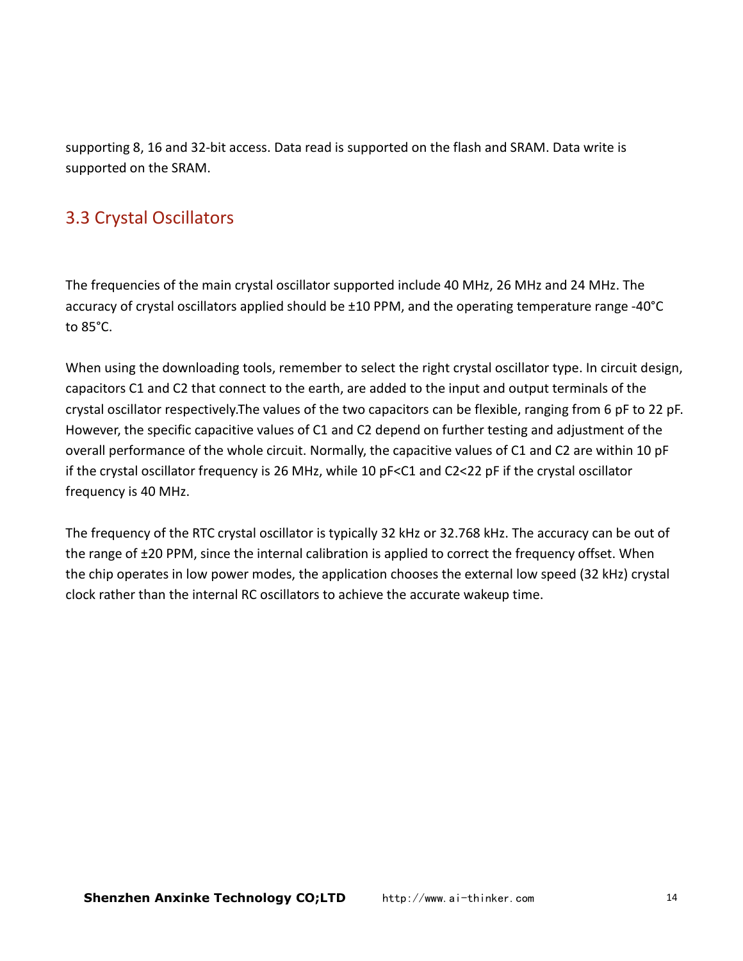<span id="page-13-0"></span>supporting 8, 16 and 32-bit access. Data read is supported on the flash and SRAM. Data write is supported on the SRAM.

### 3.3 Crystal Oscillators

The frequencies of the main crystal oscillator supported include 40 MHz, 26 MHz and 24 MHz. The accuracy of crystal oscillators applied should be ±10 PPM, and the operating temperature range -40°C to 85°C.

When using the downloading tools, remember to select the right crystal oscillator type. In circuit design, capacitors C1 and C2 that connect to the earth, are added to the input and output terminals of the crystal oscillator respectively.The values of the two capacitors can be flexible, ranging from 6 pF to 22 pF. However, the specific capacitive values of C1 and C2 depend on further testing and adjustment of the overall performance of the whole circuit. Normally, the capacitive values of C1 and C2 are within 10 pF if the crystal oscillator frequency is 26 MHz, while 10 pF<C1 and C2<22 pF if the crystal oscillator frequency is 40 MHz.

The frequency of the RTC crystal oscillator is typically 32 kHz or 32.768 kHz. The accuracy can be out of the range of ±20 PPM, since the internal calibration is applied to correct the frequency offset. When the chip operates in low power modes, the application chooses the external low speed (32 kHz) crystal clock rather than the internal RC oscillators to achieve the accurate wakeup time.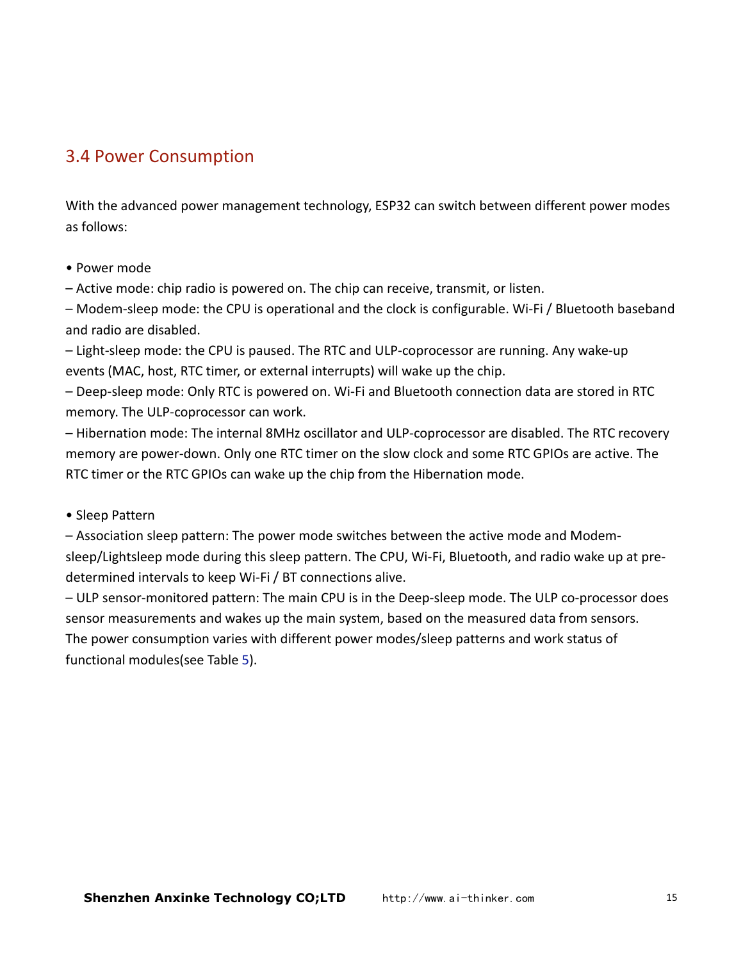### <span id="page-14-0"></span>3.4 Power Consumption

With the advanced power management technology, ESP32 can switch between different power modes as follows:

#### • Power mode

– Active mode: chip radio is powered on. The chip can receive, transmit, or listen.

– Modem-sleep mode: the CPU is operational and the clock is configurable. Wi-Fi / Bluetooth baseband and radio are disabled.

– Light-sleep mode: the CPU is paused. The RTC and ULP-coprocessor are running. Any wake-up events (MAC, host, RTC timer, or external interrupts) will wake up the chip.

– Deep-sleep mode: Only RTC is powered on. Wi-Fi and Bluetooth connection data are stored in RTC memory. The ULP-coprocessor can work.

– Hibernation mode: The internal 8MHz oscillator and ULP-coprocessor are disabled. The RTC recovery memory are power-down. Only one RTC timer on the slow clock and some RTC GPIOs are active. The RTC timer or the RTC GPIOs can wake up the chip from the Hibernation mode.

#### • Sleep Pattern

– Association sleep pattern: The power mode switches between the active mode and Modemsleep/Lightsleep mode during this sleep pattern. The CPU, Wi-Fi, Bluetooth, and radio wake up at predetermined intervals to keep Wi-Fi / BT connections alive.

– ULP sensor-monitored pattern: The main CPU is in the Deep-sleep mode. The ULP co-processor does sensor measurements and wakes up the main system, based on the measured data from sensors. The power consumption varies with different power modes/sleep patterns and work status of functional modules(see Table 5).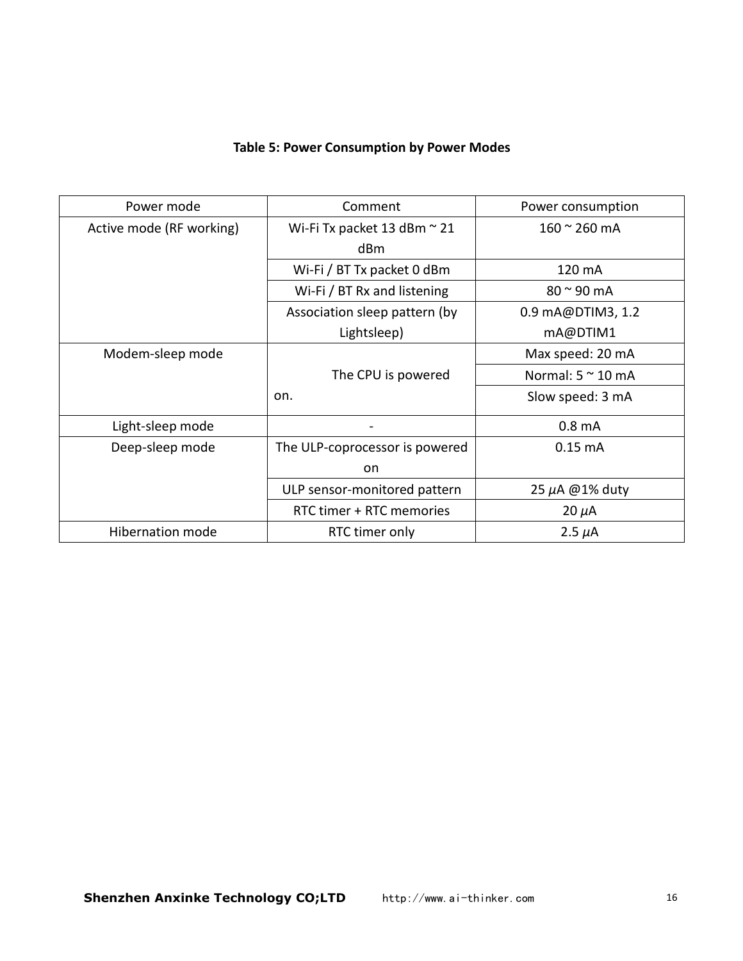#### **Table 5: Power Consumption byPower Modes**

| Power mode               | Comment                          | Power consumption         |
|--------------------------|----------------------------------|---------------------------|
| Active mode (RF working) | Wi-Fi Tx packet 13 dBm $\sim$ 21 | $160 \approx 260$ mA      |
|                          | dBm                              |                           |
|                          | Wi-Fi / BT Tx packet 0 dBm       | 120 mA                    |
|                          | Wi-Fi / BT Rx and listening      | $80 \approx 90$ mA        |
|                          | Association sleep pattern (by    | 0.9 mA@DTIM3, 1.2         |
|                          | Lightsleep)                      | mA@DTIM1                  |
| Modem-sleep mode         |                                  | Max speed: 20 mA          |
|                          | The CPU is powered               | Normal: $5 \approx 10$ mA |
|                          | on.                              | Slow speed: 3 mA          |
| Light-sleep mode         |                                  | 0.8 <sub>m</sub> A        |
| Deep-sleep mode          | The ULP-coprocessor is powered   | $0.15 \text{ mA}$         |
|                          | <b>on</b>                        |                           |
|                          | ULP sensor-monitored pattern     | 25 $\mu$ A @1% duty       |
|                          | RTC timer + RTC memories         | $20 \mu A$                |
| <b>Hibernation mode</b>  | RTC timer only                   | 2.5 $\mu$ A               |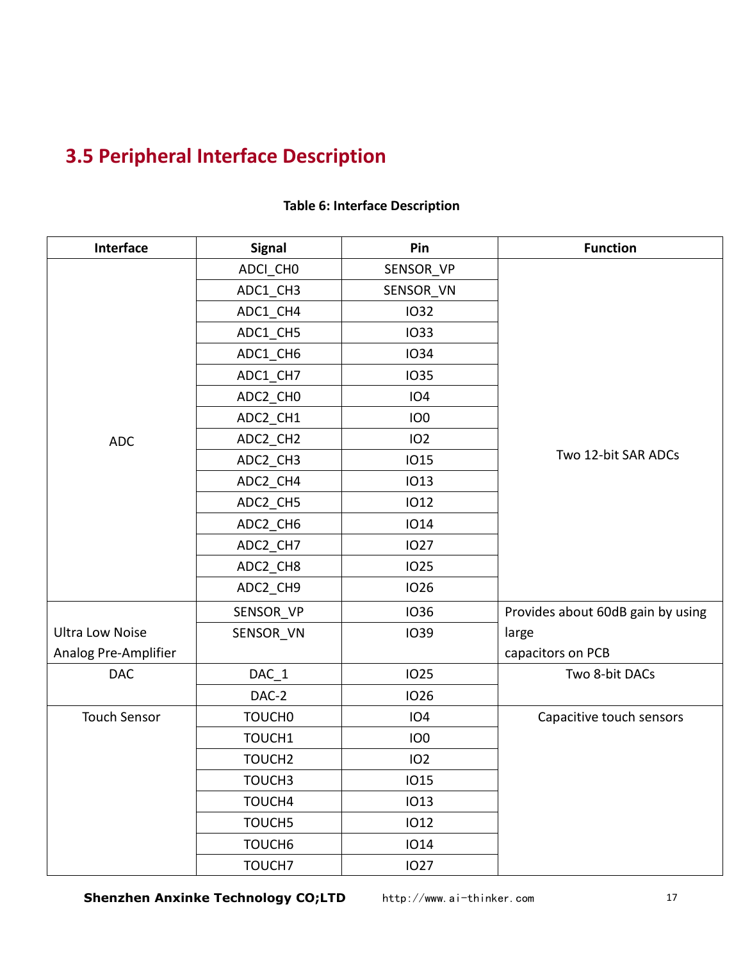# <span id="page-16-0"></span>**3.5 Peripheral Interface Description**

| Interface              | <b>Signal</b>      | Pin             | <b>Function</b>                   |  |
|------------------------|--------------------|-----------------|-----------------------------------|--|
|                        | ADCI_CHO           | SENSOR_VP       |                                   |  |
|                        | ADC1_CH3           | SENSOR_VN       |                                   |  |
|                        | ADC1_CH4           | 1032            |                                   |  |
|                        | ADC1_CH5           | <b>IO33</b>     |                                   |  |
|                        | ADC1_CH6           | 1034            |                                   |  |
|                        | ADC1_CH7           | <b>IO35</b>     |                                   |  |
|                        | ADC2_CH0           | <b>IO4</b>      |                                   |  |
|                        | ADC2_CH1           | IO <sub>0</sub> |                                   |  |
| <b>ADC</b>             | ADC2_CH2           | 102             |                                   |  |
|                        | ADC2_CH3           | <b>IO15</b>     | Two 12-bit SAR ADCs               |  |
|                        | ADC2_CH4           | <b>IO13</b>     |                                   |  |
|                        | ADC2_CH5           | 1012            |                                   |  |
|                        | ADC2_CH6           | <b>IO14</b>     |                                   |  |
|                        | ADC2_CH7           | <b>IO27</b>     |                                   |  |
|                        | ADC2_CH8           | <b>IO25</b>     |                                   |  |
|                        | ADC2_CH9           | <b>IO26</b>     |                                   |  |
|                        | SENSOR_VP          | 1036            | Provides about 60dB gain by using |  |
| <b>Ultra Low Noise</b> | SENSOR_VN          | 1039            | large                             |  |
| Analog Pre-Amplifier   |                    |                 | capacitors on PCB                 |  |
| <b>DAC</b>             | $DAC_1$            | <b>IO25</b>     | Two 8-bit DACs                    |  |
|                        | DAC-2              | <b>IO26</b>     |                                   |  |
| <b>Touch Sensor</b>    | TOUCH <sub>0</sub> | <b>IO4</b>      | Capacitive touch sensors          |  |
|                        | TOUCH1             | IO <sub>0</sub> |                                   |  |
|                        | TOUCH <sub>2</sub> | 102             |                                   |  |
|                        | TOUCH3             | 1015            |                                   |  |
|                        | TOUCH4             | <b>IO13</b>     |                                   |  |
|                        | TOUCH5             | 1012            |                                   |  |
|                        | TOUCH <sub>6</sub> | <b>IO14</b>     |                                   |  |
|                        | TOUCH7             | <b>IO27</b>     |                                   |  |

#### **Table 6: Interface Description**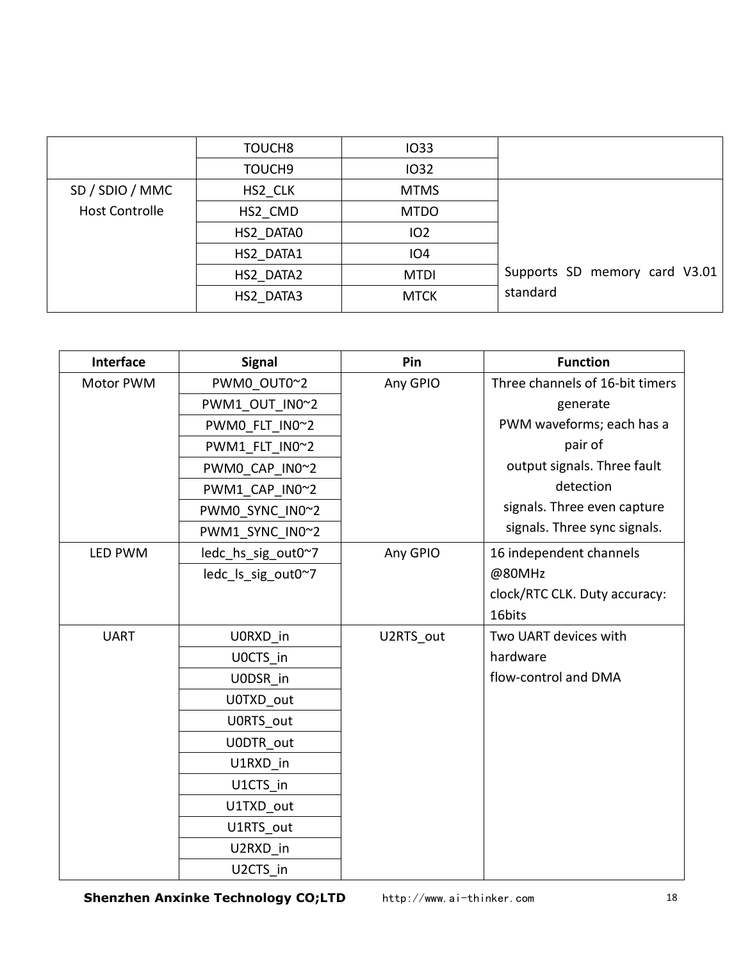|                       | TOUCH <sub>8</sub> | 1033            |                               |
|-----------------------|--------------------|-----------------|-------------------------------|
|                       | TOUCH <sub>9</sub> | 1032            |                               |
| SD / SDIO / MMC       | HS2 CLK            | <b>MTMS</b>     |                               |
| <b>Host Controlle</b> | HS2 CMD            | <b>MTDO</b>     |                               |
|                       | HS2 DATA0          | IO <sub>2</sub> |                               |
|                       | HS2 DATA1          | IO <sub>4</sub> |                               |
|                       | HS2 DATA2          | <b>MTDI</b>     | Supports SD memory card V3.01 |
|                       | HS2 DATA3          | <b>MTCK</b>     | standard                      |

| Interface   | <b>Signal</b>      | Pin       | <b>Function</b>                 |
|-------------|--------------------|-----------|---------------------------------|
| Motor PWM   | PWM0_OUT0~2        | Any GPIO  | Three channels of 16-bit timers |
|             | PWM1 OUT IN0~2     |           | generate                        |
|             | PWM0_FLT_IN0~2     |           | PWM waveforms; each has a       |
|             | PWM1 FLT IN0~2     |           | pair of                         |
|             | PWM0_CAP_IN0~2     |           | output signals. Three fault     |
|             | PWM1_CAP_IN0~2     |           | detection                       |
|             | PWM0_SYNC_IN0~2    |           | signals. Three even capture     |
|             | PWM1 SYNC IN0~2    |           | signals. Three sync signals.    |
| LED PWM     | ledc_hs_sig_out0~7 | Any GPIO  | 16 independent channels         |
|             | ledc Is sig out0~7 |           | @80MHz                          |
|             |                    |           | clock/RTC CLK. Duty accuracy:   |
|             |                    |           | 16bits                          |
| <b>UART</b> | U0RXD in           | U2RTS out | Two UART devices with           |
|             | UOCTS in           |           | hardware                        |
|             | UODSR in           |           | flow-control and DMA            |
|             | U0TXD_out          |           |                                 |
|             | U0RTS_out          |           |                                 |
|             | U0DTR out          |           |                                 |
|             | U1RXD in           |           |                                 |
|             | U1CTS_in           |           |                                 |
|             | U1TXD out          |           |                                 |
|             | U1RTS out          |           |                                 |
|             | U2RXD_in           |           |                                 |
|             | U2CTS_in           |           |                                 |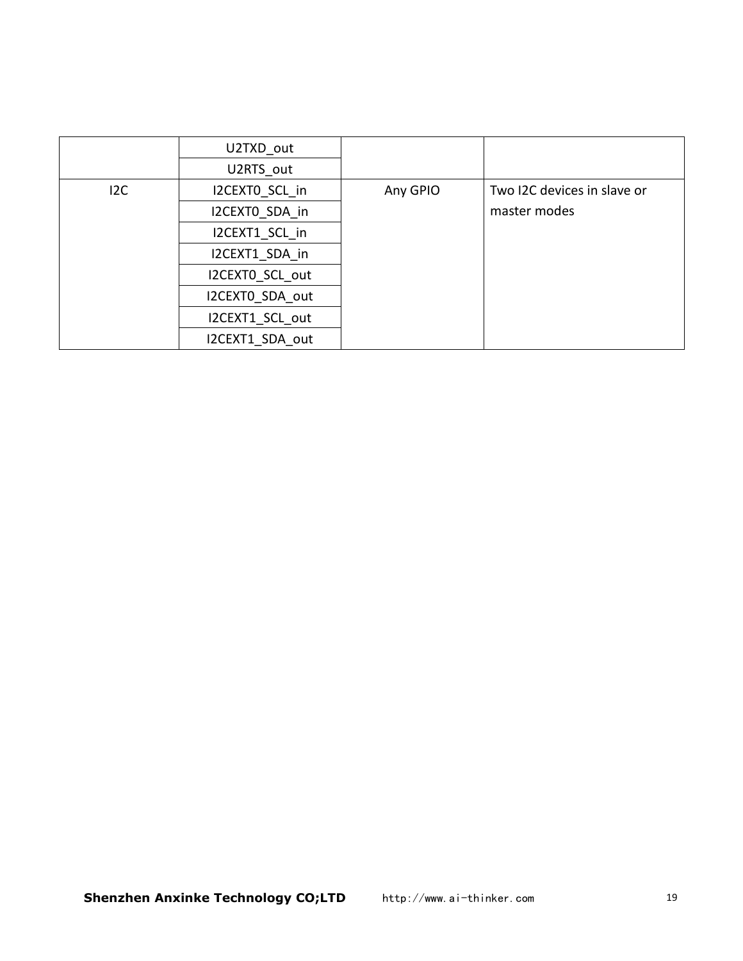|     | U2TXD_out       |          |                             |
|-----|-----------------|----------|-----------------------------|
|     |                 |          |                             |
|     | U2RTS out       |          |                             |
| 12C | I2CEXTO SCL in  | Any GPIO | Two I2C devices in slave or |
|     | I2CEXTO SDA in  |          | master modes                |
|     | I2CEXT1 SCL in  |          |                             |
|     | I2CEXT1 SDA in  |          |                             |
|     | I2CEXTO SCL out |          |                             |
|     | I2CEXTO SDA out |          |                             |
|     | I2CEXT1 SCL out |          |                             |
|     | I2CEXT1 SDA out |          |                             |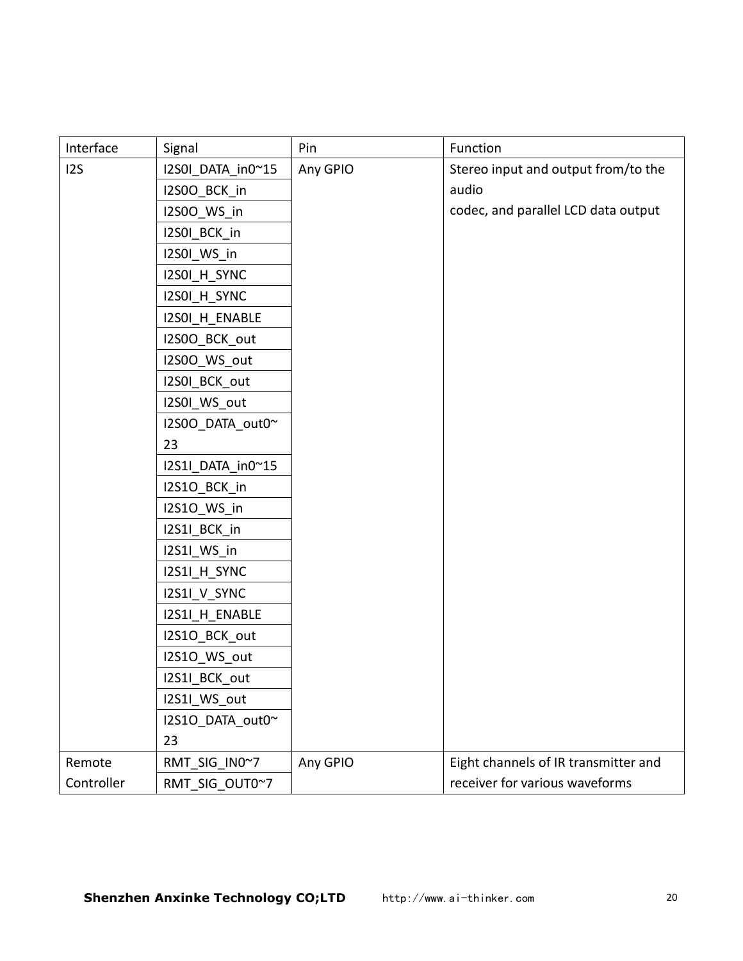| Interface  | Signal            | Pin      | Function                             |
|------------|-------------------|----------|--------------------------------------|
| 125        | I2S0I_DATA_in0~15 | Any GPIO | Stereo input and output from/to the  |
|            | I2S0O_BCK_in      |          | audio                                |
|            | 12S00_WS_in       |          | codec, and parallel LCD data output  |
|            | I2S0I_BCK_in      |          |                                      |
|            | I2S0I_WS_in       |          |                                      |
|            | I2SOI_H_SYNC      |          |                                      |
|            | I2SOI_H_SYNC      |          |                                      |
|            | I2SOI_H_ENABLE    |          |                                      |
|            | I2S0O_BCK_out     |          |                                      |
|            | I2S00_WS_out      |          |                                      |
|            | I2S0I_BCK_out     |          |                                      |
|            | I2S0I_WS_out      |          |                                      |
|            | I2S0O_DATA_out0~  |          |                                      |
|            | 23                |          |                                      |
|            | I2S1I_DATA_in0~15 |          |                                      |
|            | I2S1O_BCK_in      |          |                                      |
|            | I2S10_WS_in       |          |                                      |
|            | I2S1I_BCK_in      |          |                                      |
|            | I2S1I_WS_in       |          |                                      |
|            | I2S1I_H_SYNC      |          |                                      |
|            | I2S1I_V_SYNC      |          |                                      |
|            | I2S1I_H_ENABLE    |          |                                      |
|            | I2S1O_BCK_out     |          |                                      |
|            | I2S1O_WS_out      |          |                                      |
|            | I2S1I_BCK_out     |          |                                      |
|            | I2S1I_WS_out      |          |                                      |
|            | I2S1O_DATA_out0~  |          |                                      |
|            | 23                |          |                                      |
| Remote     | RMT_SIG_IN0~7     | Any GPIO | Eight channels of IR transmitter and |
| Controller | RMT_SIG_OUT0~7    |          | receiver for various waveforms       |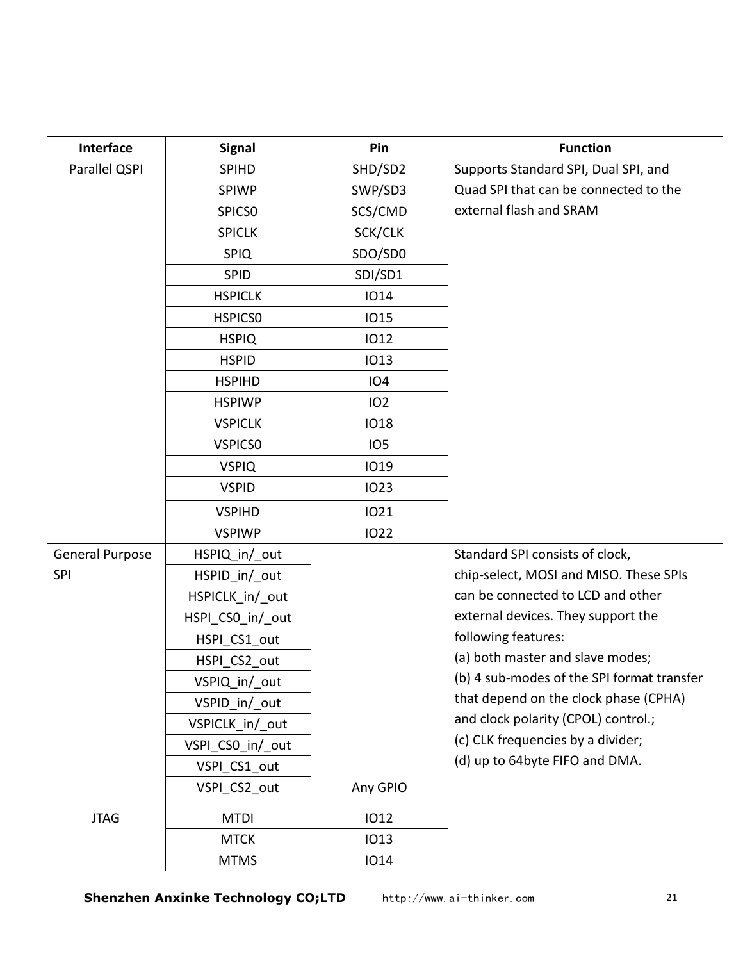| Interface              | <b>Signal</b>      | Pin             | <b>Function</b>                            |
|------------------------|--------------------|-----------------|--------------------------------------------|
| Parallel QSPI          | <b>SPIHD</b>       | SHD/SD2         | Supports Standard SPI, Dual SPI, and       |
|                        | <b>SPIWP</b>       | SWP/SD3         | Quad SPI that can be connected to the      |
|                        | SPICS <sub>0</sub> | SCS/CMD         | external flash and SRAM                    |
|                        | <b>SPICLK</b>      | SCK/CLK         |                                            |
|                        | <b>SPIQ</b>        | SDO/SD0         |                                            |
|                        | SPID               | SDI/SD1         |                                            |
|                        | <b>HSPICLK</b>     | <b>IO14</b>     |                                            |
|                        | <b>HSPICSO</b>     | <b>IO15</b>     |                                            |
|                        | <b>HSPIQ</b>       | <b>IO12</b>     |                                            |
|                        | <b>HSPID</b>       | <b>IO13</b>     |                                            |
|                        | <b>HSPIHD</b>      | <b>IO4</b>      |                                            |
|                        | <b>HSPIWP</b>      | 102             |                                            |
|                        | <b>VSPICLK</b>     | <b>IO18</b>     |                                            |
|                        | <b>VSPICSO</b>     | IO <sub>5</sub> |                                            |
|                        | <b>VSPIQ</b>       | <b>IO19</b>     |                                            |
|                        | <b>VSPID</b>       | <b>IO23</b>     |                                            |
|                        | <b>VSPIHD</b>      | <b>IO21</b>     |                                            |
|                        | <b>VSPIWP</b>      | <b>IO22</b>     |                                            |
| <b>General Purpose</b> | HSPIQ in/ out      |                 | Standard SPI consists of clock,            |
| <b>SPI</b>             | HSPID_in/_out      |                 | chip-select, MOSI and MISO. These SPIs     |
|                        | HSPICLK in/ out    |                 | can be connected to LCD and other          |
|                        | HSPI CSO in/ out   |                 | external devices. They support the         |
|                        | HSPI CS1 out       |                 | following features:                        |
|                        | HSPI CS2 out       |                 | (a) both master and slave modes;           |
|                        | VSPIQ_in/_out      |                 | (b) 4 sub-modes of the SPI format transfer |
|                        | VSPID_in/_out      |                 | that depend on the clock phase (CPHA)      |
|                        | VSPICLK_in/_out    |                 | and clock polarity (CPOL) control.;        |
|                        | VSPI_CSO_in/_out   |                 | (c) CLK frequencies by a divider;          |
|                        | VSPI_CS1_out       |                 | (d) up to 64byte FIFO and DMA.             |
|                        | VSPI_CS2_out       | Any GPIO        |                                            |
| <b>JTAG</b>            | <b>MTDI</b>        | <b>IO12</b>     |                                            |
|                        | <b>MTCK</b>        | <b>IO13</b>     |                                            |
|                        | <b>MTMS</b>        | <b>IO14</b>     |                                            |

**Shenzhen Anxinke Technology CO;LTD** http://www.ai-thinker.com 21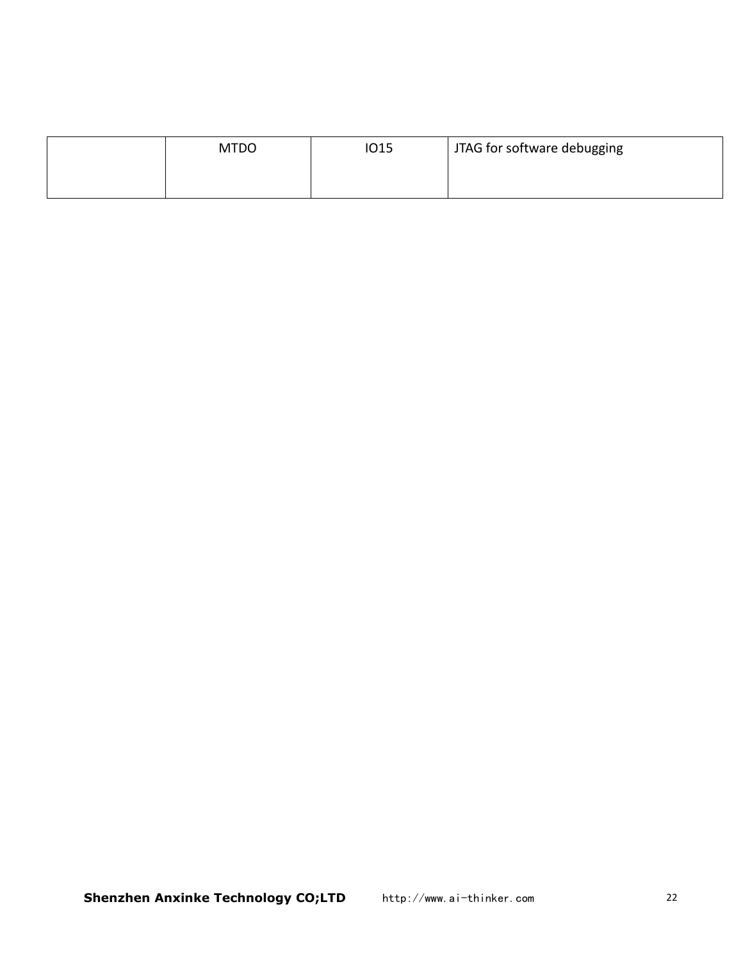| <b>MTDO</b> | <b>IO15</b> | JTAG for software debugging |
|-------------|-------------|-----------------------------|
|             |             |                             |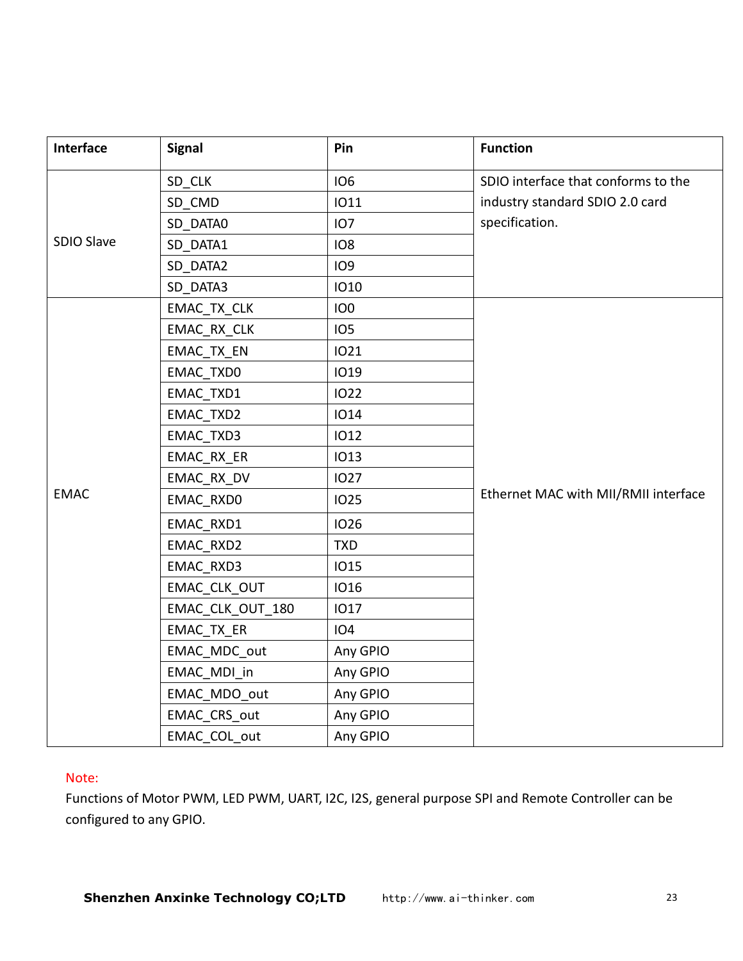| Interface   | <b>Signal</b>    | Pin             | <b>Function</b>                      |
|-------------|------------------|-----------------|--------------------------------------|
|             | SD_CLK           | <b>IO6</b>      | SDIO interface that conforms to the  |
|             | SD_CMD           | <b>IO11</b>     | industry standard SDIO 2.0 card      |
|             | SD_DATA0         | IO <sub>7</sub> | specification.                       |
| SDIO Slave  | SD_DATA1         | IO <sub>8</sub> |                                      |
|             | SD_DATA2         | <b>IO9</b>      |                                      |
|             | SD_DATA3         | <b>IO10</b>     |                                      |
|             | EMAC_TX_CLK      | IO <sub>0</sub> |                                      |
|             | EMAC_RX_CLK      | IO <sub>5</sub> |                                      |
|             | EMAC_TX_EN       | <b>IO21</b>     |                                      |
|             | EMAC_TXD0        | <b>IO19</b>     |                                      |
|             | EMAC_TXD1        | <b>IO22</b>     |                                      |
|             | EMAC_TXD2        | <b>IO14</b>     |                                      |
|             | EMAC_TXD3        | <b>IO12</b>     |                                      |
|             | EMAC_RX_ER       | <b>IO13</b>     |                                      |
|             | EMAC RX DV       | <b>IO27</b>     |                                      |
| <b>EMAC</b> | EMAC_RXD0        | <b>IO25</b>     | Ethernet MAC with MII/RMII interface |
|             | EMAC_RXD1        | <b>IO26</b>     |                                      |
|             | EMAC_RXD2        | <b>TXD</b>      |                                      |
|             | EMAC_RXD3        | <b>IO15</b>     |                                      |
|             | EMAC_CLK_OUT     | <b>IO16</b>     |                                      |
|             | EMAC_CLK_OUT_180 | <b>IO17</b>     |                                      |
|             | EMAC_TX_ER       | <b>IO4</b>      |                                      |
|             | EMAC_MDC_out     | Any GPIO        |                                      |
|             | EMAC_MDI_in      | Any GPIO        |                                      |
|             | EMAC_MDO_out     | Any GPIO        |                                      |
|             | EMAC_CRS_out     | Any GPIO        |                                      |
|             | EMAC_COL_out     | Any GPIO        |                                      |

#### Note:

Functions of Motor PWM, LED PWM, UART, I2C, I2S, general purpose SPI and Remote Controller can be configured to any GPIO.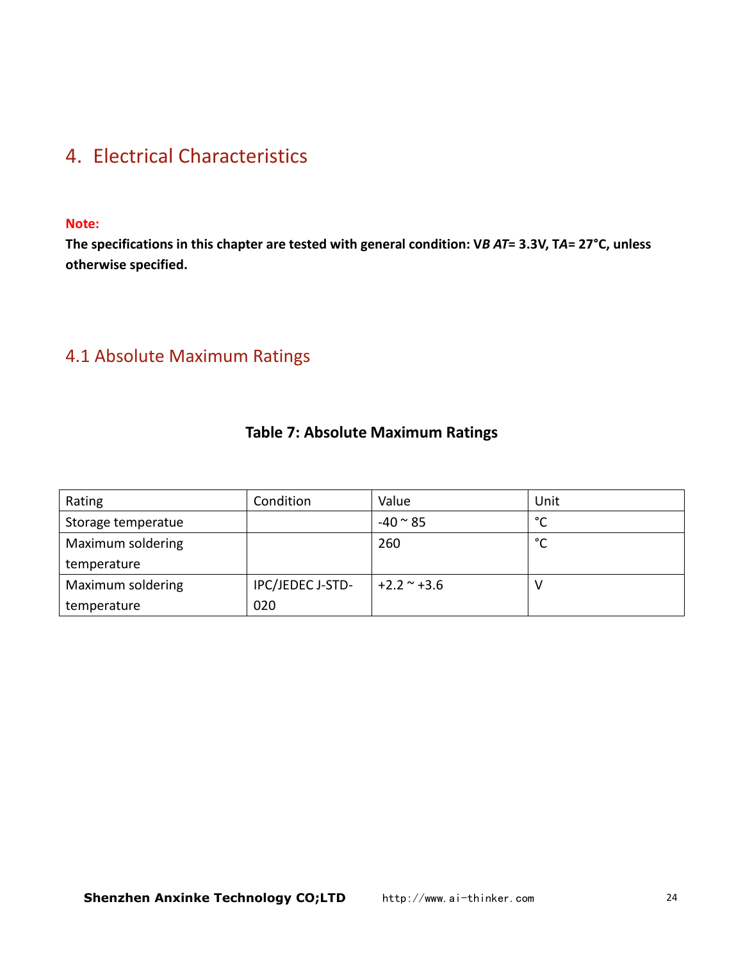# <span id="page-23-1"></span><span id="page-23-0"></span>4. Electrical Characteristics

#### **Note:**

The specifications in this chapter are tested with general condition: VB AT= 3.3V, TA= 27°C, unless **otherwise specified.**

### 4.1 Absolute Maximum Ratings

#### **Table 7: Absolute Maximum Ratings**

| Rating             | Condition        | Value              | Unit                   |
|--------------------|------------------|--------------------|------------------------|
| Storage temperatue |                  | $-40 \approx 85$   | $\mathbin{\circ}$<br>◡ |
| Maximum soldering  |                  | 260                | °C                     |
| temperature        |                  |                    |                        |
| Maximum soldering  | IPC/JEDEC J-STD- | $+2.2$ $\sim$ +3.6 | ν                      |
| temperature        | 020              |                    |                        |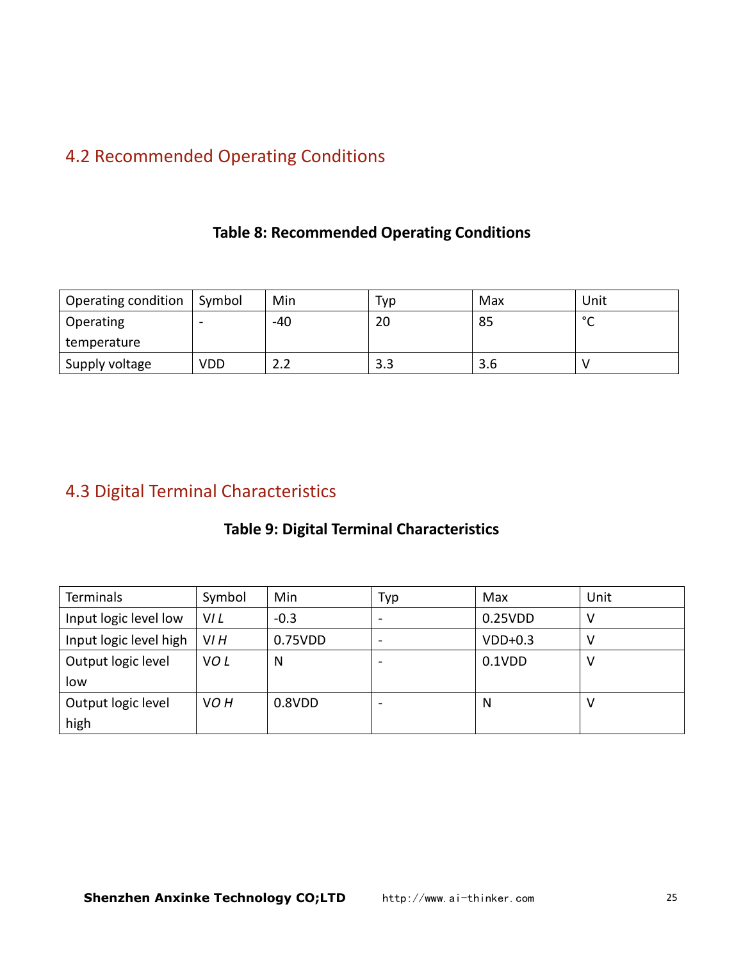# <span id="page-24-0"></span>4.2 Recommended Operating Conditions

#### **Table 8: Recommended Operating Conditions**

| <sup>1</sup> Operating condition | Symbol                   | Min   | Typ | Max | Unit        |
|----------------------------------|--------------------------|-------|-----|-----|-------------|
| Operating                        | $\overline{\phantom{0}}$ | $-40$ | 20  | 85  | $\sim$<br>∼ |
| temperature                      |                          |       |     |     |             |
| Supply voltage                   | VDD                      | L.L   | د.د | 3.6 |             |

# 4.3 Digital Terminal Characteristics

### **Table 9: Digital Terminal Characteristics**

| Terminals              | Symbol           | Min     | Typ                      | Max       | Unit |
|------------------------|------------------|---------|--------------------------|-----------|------|
| Input logic level low  | VI L             | $-0.3$  |                          | 0.25VDD   |      |
| Input logic level high | V <sub>I</sub> H | 0.75VDD | $\overline{\phantom{a}}$ | $VDD+0.3$ |      |
| Output logic level     | VO <sub>L</sub>  | N       |                          | $0.1$ VDD |      |
| low                    |                  |         |                          |           |      |
| Output logic level     | VO <sub>H</sub>  | 0.8VDD  |                          | N         |      |
| high                   |                  |         |                          |           |      |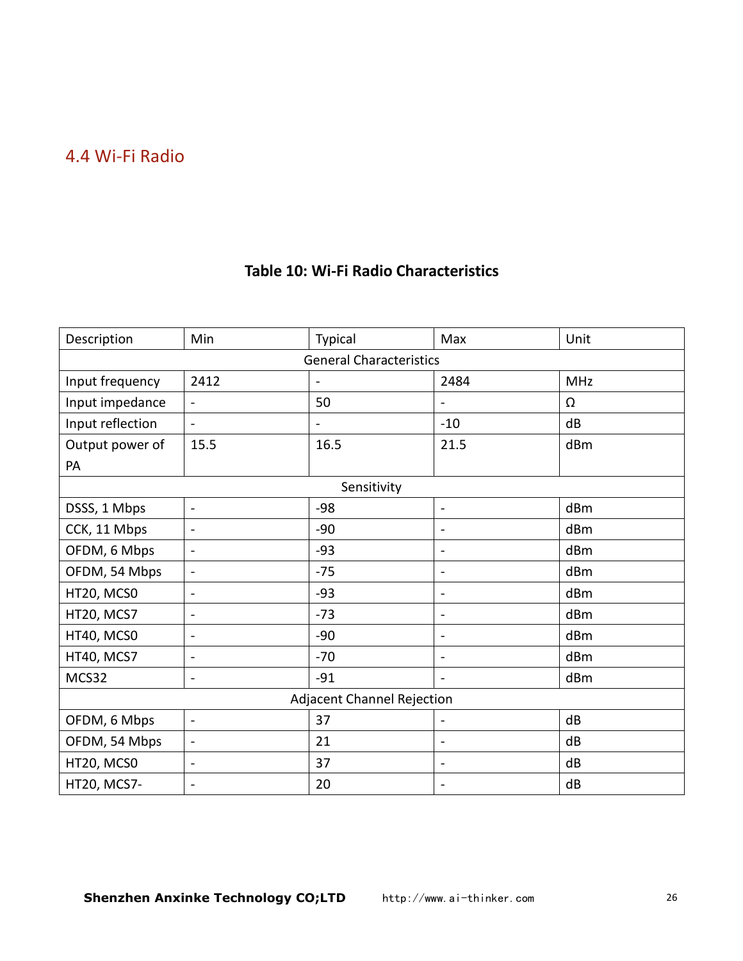### <span id="page-25-0"></span>4.4 Wi-Fi Radio

| Description      | Min                      | Typical                           | Max                      | Unit       |  |  |  |  |
|------------------|--------------------------|-----------------------------------|--------------------------|------------|--|--|--|--|
|                  |                          | <b>General Characteristics</b>    |                          |            |  |  |  |  |
| Input frequency  | 2412                     |                                   | 2484                     | <b>MHz</b> |  |  |  |  |
| Input impedance  | $\blacksquare$           | 50                                | $\blacksquare$           | Ω          |  |  |  |  |
| Input reflection | $\blacksquare$           |                                   | $-10$                    | dB         |  |  |  |  |
| Output power of  | 15.5                     | 16.5                              | 21.5                     | dBm        |  |  |  |  |
| PA               |                          |                                   |                          |            |  |  |  |  |
|                  |                          | Sensitivity                       |                          |            |  |  |  |  |
| DSSS, 1 Mbps     | $\sim$                   | $-98$                             | $\blacksquare$           | dBm        |  |  |  |  |
| CCK, 11 Mbps     | $\blacksquare$           | $-90$                             | $\blacksquare$           | dBm        |  |  |  |  |
| OFDM, 6 Mbps     | $\blacksquare$           | $-93$                             | $\blacksquare$           | dBm        |  |  |  |  |
| OFDM, 54 Mbps    | $\sim$                   | $-75$                             | $\blacksquare$           | dBm        |  |  |  |  |
| HT20, MCS0       | $\overline{\phantom{a}}$ | $-93$                             | $\overline{\phantom{0}}$ | dBm        |  |  |  |  |
| HT20, MCS7       | $\blacksquare$           | $-73$                             | $\blacksquare$           | dBm        |  |  |  |  |
| HT40, MCS0       | $\blacksquare$           | $-90$                             | L,                       | dBm        |  |  |  |  |
| HT40, MCS7       | $\blacksquare$           | $-70$                             | $\overline{a}$           | dBm        |  |  |  |  |
| MCS32            | $\blacksquare$           | $-91$                             | $\blacksquare$           | dBm        |  |  |  |  |
|                  |                          | <b>Adjacent Channel Rejection</b> |                          |            |  |  |  |  |
| OFDM, 6 Mbps     | $\blacksquare$           | 37                                | $\blacksquare$           | dB         |  |  |  |  |
| OFDM, 54 Mbps    |                          | 21                                | $\blacksquare$           | dB         |  |  |  |  |
| HT20, MCS0       | $\blacksquare$           | 37                                | $\overline{\phantom{a}}$ | dB         |  |  |  |  |
| HT20, MCS7-      | $\blacksquare$           | 20                                | $\blacksquare$           | dB         |  |  |  |  |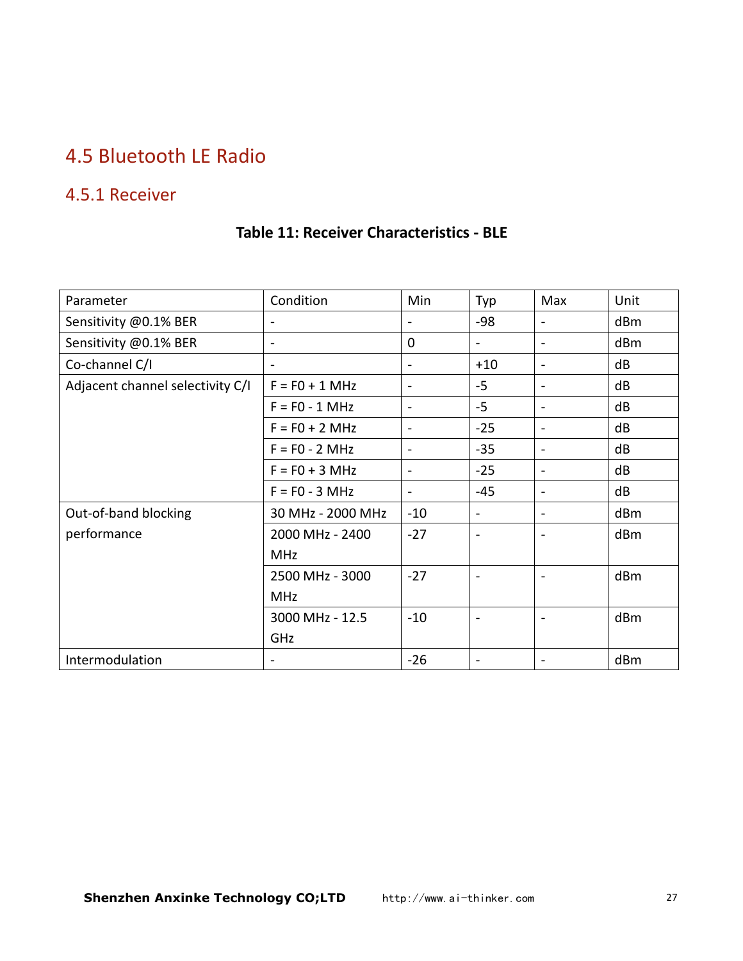# <span id="page-26-0"></span>4.5 Bluetooth LE Radio

### 4.5.1 Receiver

#### **Table 11: Receiver Characteristics - BLE**

| Parameter                        | Condition         | Min            | Typ                          | Max                          | Unit |
|----------------------------------|-------------------|----------------|------------------------------|------------------------------|------|
| Sensitivity @0.1% BER            |                   | $\blacksquare$ | -98                          | $\overline{\phantom{a}}$     | dBm  |
| Sensitivity @0.1% BER            | $\sim$            | $\mathbf{0}$   |                              | $\overline{\phantom{0}}$     | dBm  |
| Co-channel C/I                   |                   | $\blacksquare$ | $+10$                        | $\blacksquare$               | dB   |
| Adjacent channel selectivity C/I | $F = F0 + 1 MHz$  | $\blacksquare$ | $-5$                         | $\overline{\phantom{0}}$     | dB   |
|                                  | $F = F0 - 1 MHz$  | $\sim$         | $-5$                         | $\blacksquare$               | dB   |
|                                  | $F = F0 + 2 MHz$  | $\sim$         | $-25$                        | $\overline{\phantom{a}}$     | dB   |
|                                  | $F = F0 - 2 MHz$  | $\sim$         | $-35$                        | $\overline{\phantom{a}}$     | dB   |
|                                  | $F = F0 + 3 MHz$  | $\blacksquare$ | $-25$                        | $\qquad \qquad \blacksquare$ | dB   |
|                                  | $F = F0 - 3 MHz$  | $\sim$         | $-45$                        | $\blacksquare$               | dB   |
| Out-of-band blocking             | 30 MHz - 2000 MHz | $-10$          | $\qquad \qquad \blacksquare$ | $\overline{\phantom{0}}$     | dBm  |
| performance                      | 2000 MHz - 2400   | $-27$          | $\blacksquare$               | $\overline{\phantom{0}}$     | dBm  |
|                                  | MHz               |                |                              |                              |      |
|                                  | 2500 MHz - 3000   | $-27$          | $\blacksquare$               | $\overline{\phantom{a}}$     | dBm  |
|                                  | <b>MHz</b>        |                |                              |                              |      |
|                                  | 3000 MHz - 12.5   | $-10$          | $\overline{\phantom{a}}$     |                              | dBm  |
|                                  | GHz               |                |                              |                              |      |
| Intermodulation                  |                   | $-26$          | $\blacksquare$               | $\overline{\phantom{0}}$     | dBm  |
|                                  |                   |                |                              |                              |      |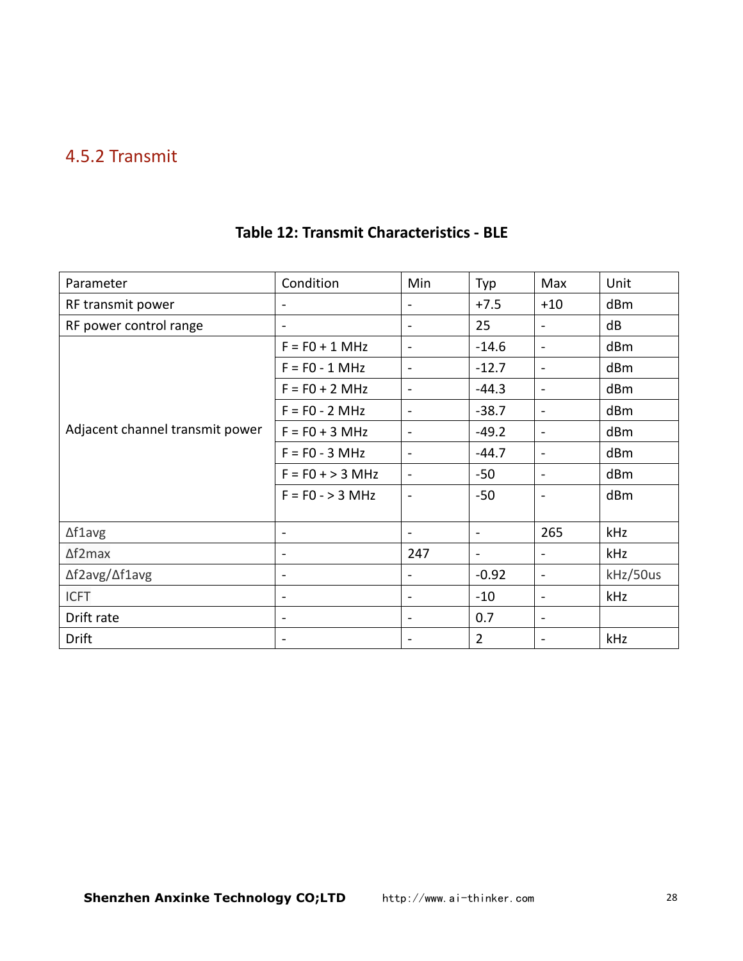### <span id="page-27-0"></span>4.5.2 Transmit

| Parameter                       | Condition          | Min                      | Typ            | Max                      | Unit     |
|---------------------------------|--------------------|--------------------------|----------------|--------------------------|----------|
|                                 |                    |                          |                |                          |          |
| RF transmit power               | $\blacksquare$     |                          | $+7.5$         | $+10$                    | dBm      |
| RF power control range          | $\sim$             |                          | 25             | $\blacksquare$           | dB       |
|                                 | $F = F0 + 1 MHz$   | $\overline{\phantom{a}}$ | $-14.6$        | $\blacksquare$           | dBm      |
|                                 | $F = F0 - 1 MHz$   | $\blacksquare$           | $-12.7$        | $\blacksquare$           | dBm      |
|                                 | $F = F0 + 2 MHz$   | $\blacksquare$           | $-44.3$        | $\blacksquare$           | dBm      |
|                                 | $F = F0 - 2 MHz$   | $\blacksquare$           | $-38.7$        | $\blacksquare$           | dBm      |
| Adjacent channel transmit power | $F = F0 + 3 MHz$   | $\sim$                   | $-49.2$        | $\blacksquare$           | dBm      |
|                                 | $F = F0 - 3 MHz$   | $\overline{\phantom{a}}$ | $-44.7$        | $\blacksquare$           | dBm      |
|                                 | $F = F0 + > 3 MHz$ | $\blacksquare$           | $-50$          | $\blacksquare$           | dBm      |
|                                 | $F = F0 - > 3 MHz$ | $\overline{a}$           | $-50$          | $\overline{\phantom{a}}$ | dBm      |
| $\Delta$ f1avg                  | $\sim$             | $\overline{\phantom{a}}$ | $\sim$         | 265                      | kHz      |
| $\Delta f2$ max                 | $\blacksquare$     | 247                      | $\sim$         | $\blacksquare$           | kHz      |
| ∆f2avg/∆f1avg                   | $\blacksquare$     | $\sim$                   | $-0.92$        | $\blacksquare$           | kHz/50us |
| <b>ICFT</b>                     | $\blacksquare$     | $\sim$                   | $-10$          | $\blacksquare$           | kHz      |
| Drift rate                      | $\sim$             | $\overline{\phantom{a}}$ | 0.7            | $\blacksquare$           |          |
| Drift                           | $\blacksquare$     |                          | $\overline{2}$ | $\overline{a}$           | kHz      |

### **Table 12: Transmit Characteristics - BLE**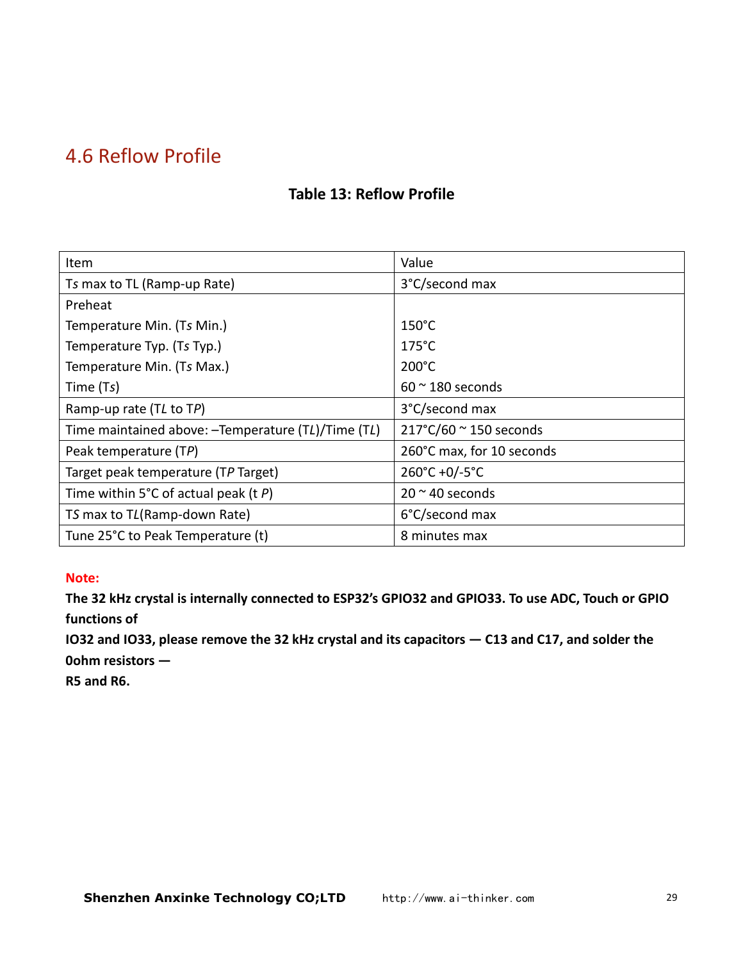# <span id="page-28-0"></span>4.6 Reflow Profile

#### **Table 13: Reflow Profile**

| Item                                                | Value                                    |
|-----------------------------------------------------|------------------------------------------|
| Ts max to TL (Ramp-up Rate)                         | 3°C/second max                           |
| Preheat                                             |                                          |
| Temperature Min. (Ts Min.)                          | $150^{\circ}$ C                          |
| Temperature Typ. (Ts Typ.)                          | $175^{\circ}$ C                          |
| Temperature Min. (Ts Max.)                          | $200^{\circ}$ C                          |
| Time (Ts)                                           | $60$ $\sim$ 180 seconds                  |
| Ramp-up rate (TL to TP)                             | 3°C/second max                           |
| Time maintained above: - Temperature (TL)/Time (TL) | $217^{\circ}$ C/60 $^{\sim}$ 150 seconds |
| Peak temperature (TP)                               | 260°C max, for 10 seconds                |
| Target peak temperature (TP Target)                 | 260°C +0/-5°C                            |
| Time within 5°C of actual peak (t $P$ )             | $20 \approx 40$ seconds                  |
| TS max to TL(Ramp-down Rate)                        | 6°C/second max                           |
| Tune 25°C to Peak Temperature (t)                   | 8 minutes max                            |

#### **Note:**

**The 32 kHz crystalis internally connected to ESP32's GPIO32 and GPIO33. To use ADC, Touch or GPIO functions of**

IO32 and IO33, please remove the 32 kHz crystal and its capacitors - C13 and C17, and solder the **0ohm resistors —**

**R5 and R6.**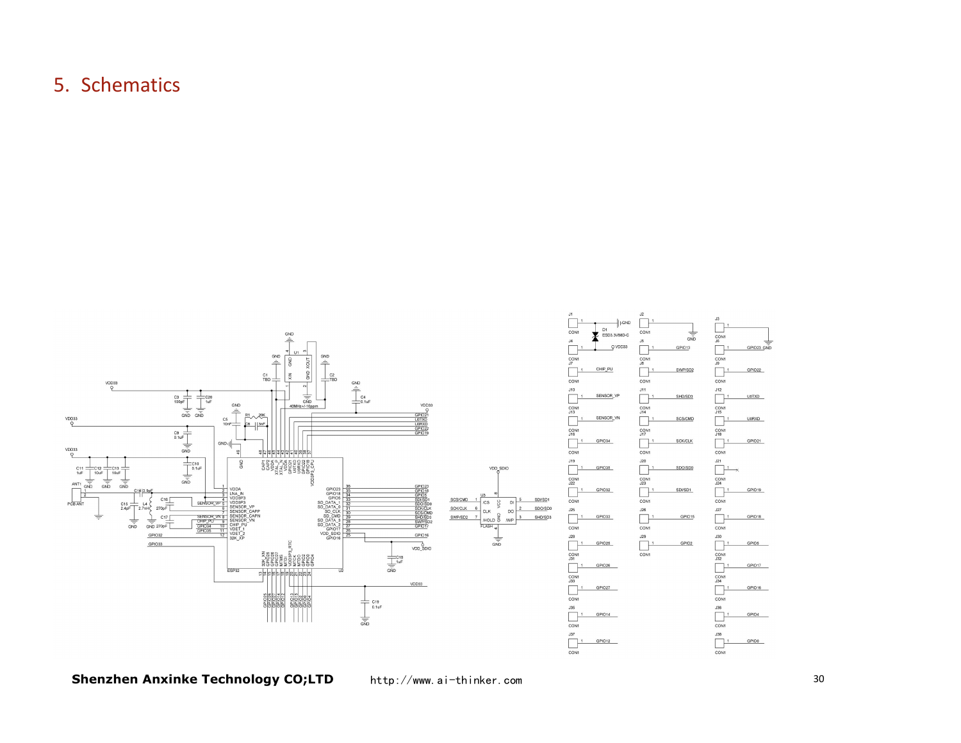# 5. Schematics

<span id="page-29-0"></span>

**Shenzhen Anxinke Technology CO;LTD** 

http://www.ai-thinker.com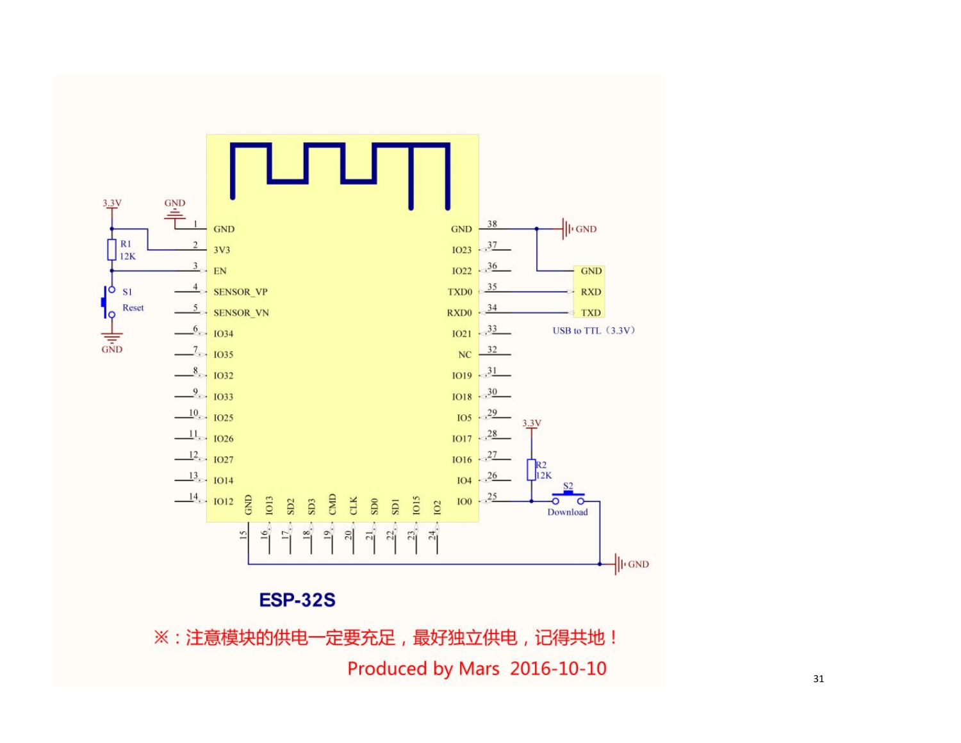

※:注意模块的供电一定要充足,最好独立供电,记得共地! Produced by Mars 2016-10-10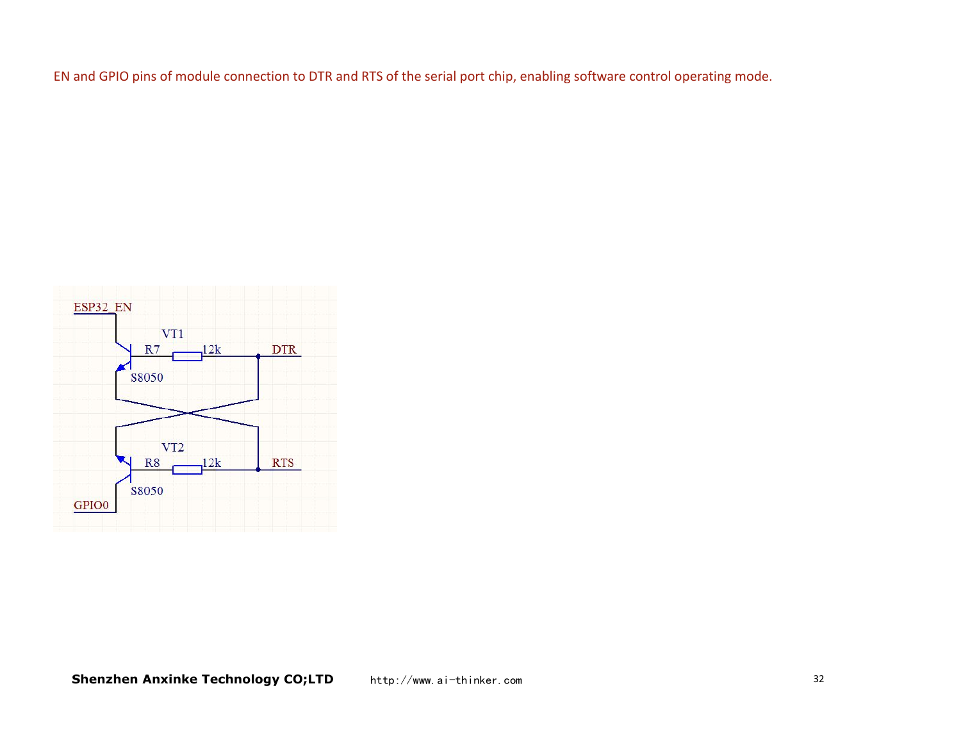EN and GPIO pins of module connection to DTR and RTS of the serial port chip, enabling software control operating mode.